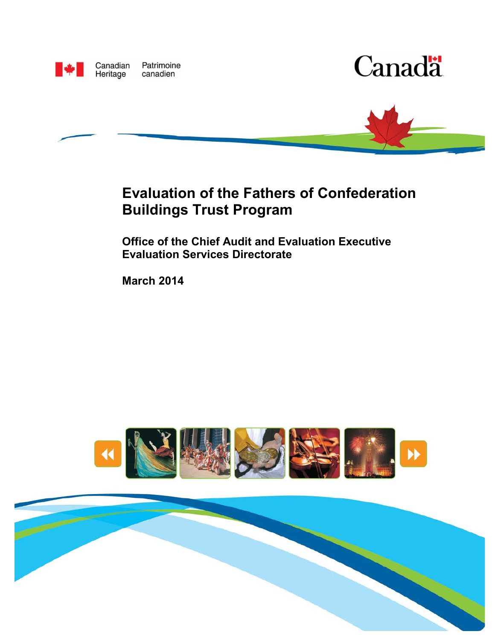





## **Evaluation of the Fathers of Confederation Buildings Trust Program**

**Office of the Chief Audit and Evaluation Executive Evaluation Services Directorate**

**March 2014** 



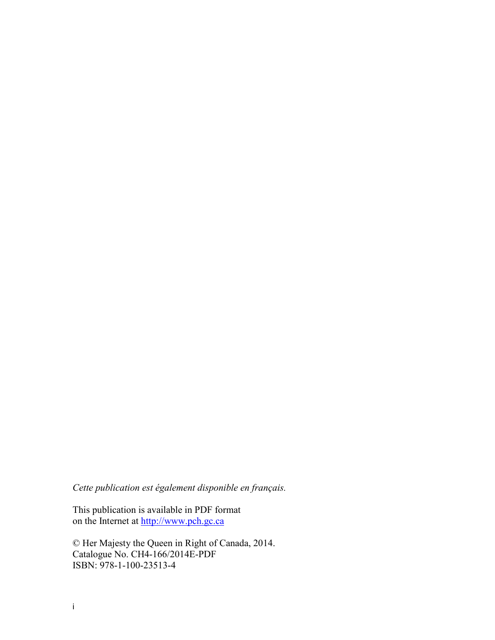*Cette publication est également disponible en français.* 

This publication is available in PDF format on the Internet at [http://www.pch.gc.ca](http://www.pch.gc.ca/)

© Her Majesty the Queen in Right of Canada, 2014. Catalogue No. CH4-166/2014E-PDF ISBN: 978-1-100-23513-4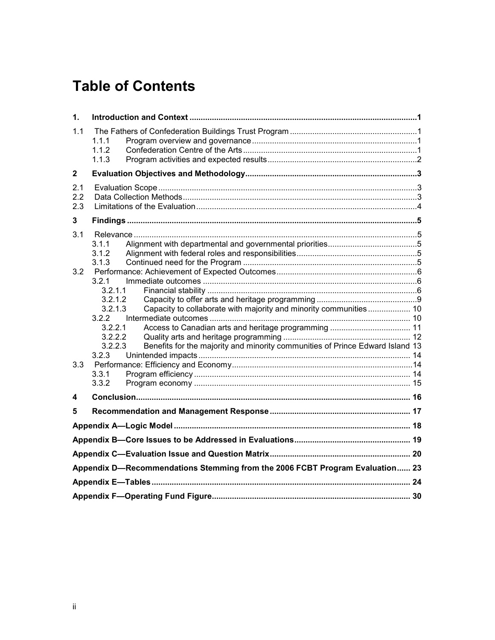## **Table of Contents**

| 1.           |                                                                                          |  |  |  |  |
|--------------|------------------------------------------------------------------------------------------|--|--|--|--|
| 1.1          | 1.1.1<br>1.1.2                                                                           |  |  |  |  |
|              | 1.1.3                                                                                    |  |  |  |  |
| $\mathbf{2}$ |                                                                                          |  |  |  |  |
| 2.1          |                                                                                          |  |  |  |  |
| 2.2          |                                                                                          |  |  |  |  |
| 2.3          |                                                                                          |  |  |  |  |
| 3            |                                                                                          |  |  |  |  |
| 3.1          |                                                                                          |  |  |  |  |
|              | 3.1.1                                                                                    |  |  |  |  |
|              | 3.1.2                                                                                    |  |  |  |  |
|              | 3.1.3                                                                                    |  |  |  |  |
| 3.2          |                                                                                          |  |  |  |  |
|              | 3.2.1                                                                                    |  |  |  |  |
|              | 3.2.1.1<br>3.2.1.2                                                                       |  |  |  |  |
|              | Capacity to collaborate with majority and minority communities 10<br>3.2.1.3             |  |  |  |  |
|              | 3.2.2                                                                                    |  |  |  |  |
|              | 3.2.2.1                                                                                  |  |  |  |  |
|              | 3.2.2.2                                                                                  |  |  |  |  |
|              | 3.2.2.3<br>Benefits for the majority and minority communities of Prince Edward Island 13 |  |  |  |  |
|              | 3.2.3                                                                                    |  |  |  |  |
| 3.3          |                                                                                          |  |  |  |  |
|              | 3.3.1                                                                                    |  |  |  |  |
|              | 3.3.2                                                                                    |  |  |  |  |
| 4            |                                                                                          |  |  |  |  |
| 5            |                                                                                          |  |  |  |  |
|              |                                                                                          |  |  |  |  |
|              |                                                                                          |  |  |  |  |
|              |                                                                                          |  |  |  |  |
|              | Appendix D-Recommendations Stemming from the 2006 FCBT Program Evaluation 23             |  |  |  |  |
|              |                                                                                          |  |  |  |  |
|              |                                                                                          |  |  |  |  |
|              |                                                                                          |  |  |  |  |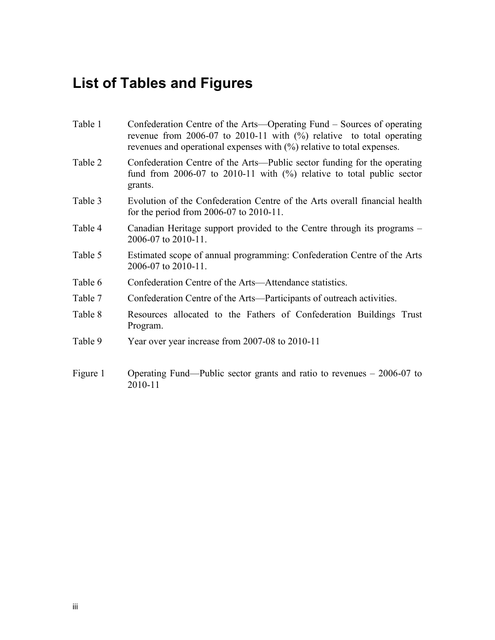# **List of Tables and Figures**

| Table 1  | Confederation Centre of the Arts—Operating Fund – Sources of operating<br>revenue from 2006-07 to 2010-11 with $(\%)$ relative to total operating<br>revenues and operational expenses with $(\%)$ relative to total expenses. |
|----------|--------------------------------------------------------------------------------------------------------------------------------------------------------------------------------------------------------------------------------|
| Table 2  | Confederation Centre of the Arts—Public sector funding for the operating<br>fund from $2006-07$ to $2010-11$ with $(\%)$ relative to total public sector<br>grants.                                                            |
| Table 3  | Evolution of the Confederation Centre of the Arts overall financial health<br>for the period from $2006-07$ to $2010-11$ .                                                                                                     |
| Table 4  | Canadian Heritage support provided to the Centre through its programs –<br>2006-07 to 2010-11.                                                                                                                                 |
| Table 5  | Estimated scope of annual programming: Confederation Centre of the Arts<br>2006-07 to 2010-11.                                                                                                                                 |
| Table 6  | Confederation Centre of the Arts—Attendance statistics.                                                                                                                                                                        |
| Table 7  | Confederation Centre of the Arts—Participants of outreach activities.                                                                                                                                                          |
| Table 8  | Resources allocated to the Fathers of Confederation Buildings Trust<br>Program.                                                                                                                                                |
| Table 9  | Year over year increase from 2007-08 to 2010-11                                                                                                                                                                                |
| Figure 1 | Operating Fund—Public sector grants and ratio to revenues $-2006-07$ to<br>2010-11                                                                                                                                             |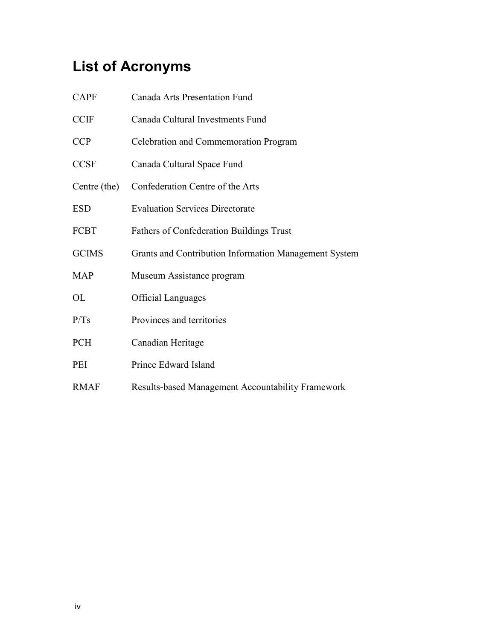# **List of Acronyms**

| <b>CAPF</b>  | <b>Canada Arts Presentation Fund</b>                  |
|--------------|-------------------------------------------------------|
| <b>CCIF</b>  | Canada Cultural Investments Fund                      |
| <b>CCP</b>   | Celebration and Commemoration Program                 |
| <b>CCSF</b>  | Canada Cultural Space Fund                            |
| Centre (the) | Confederation Centre of the Arts                      |
| <b>ESD</b>   | <b>Evaluation Services Directorate</b>                |
| FCBT         | <b>Fathers of Confederation Buildings Trust</b>       |
| <b>GCIMS</b> | Grants and Contribution Information Management System |
| <b>MAP</b>   | Museum Assistance program                             |
| OL           | <b>Official Languages</b>                             |
| P/Ts         | Provinces and territories                             |
| <b>PCH</b>   | Canadian Heritage                                     |
| PEI          | Prince Edward Island                                  |
| <b>RMAF</b>  | Results-based Management Accountability Framework     |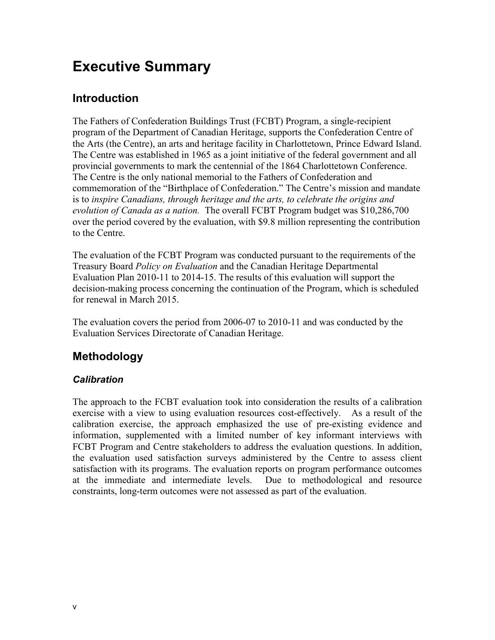## **Executive Summary**

## **Introduction**

The Fathers of Confederation Buildings Trust (FCBT) Program, a single-recipient program of the Department of Canadian Heritage, supports the Confederation Centre of the Arts (the Centre), an arts and heritage facility in Charlottetown, Prince Edward Island. The Centre was established in 1965 as a joint initiative of the federal government and all provincial governments to mark the centennial of the 1864 Charlottetown Conference. The Centre is the only national memorial to the Fathers of Confederation and commemoration of the "Birthplace of Confederation." The Centre's mission and mandate is to *inspire Canadians, through heritage and the arts, to celebrate the origins and evolution of Canada as a nation.* The overall FCBT Program budget was \$10,286,700 over the period covered by the evaluation, with \$9.8 million representing the contribution to the Centre.

The evaluation of the FCBT Program was conducted pursuant to the requirements of the Treasury Board *Policy on Evaluation* and the Canadian Heritage Departmental Evaluation Plan 2010-11 to 2014-15. The results of this evaluation will support the decision-making process concerning the continuation of the Program, which is scheduled for renewal in March 2015.

The evaluation covers the period from 2006-07 to 2010-11 and was conducted by the Evaluation Services Directorate of Canadian Heritage.

## **Methodology**

### *Calibration*

The approach to the FCBT evaluation took into consideration the results of a calibration exercise with a view to using evaluation resources cost-effectively. As a result of the calibration exercise, the approach emphasized the use of pre-existing evidence and information, supplemented with a limited number of key informant interviews with FCBT Program and Centre stakeholders to address the evaluation questions. In addition, the evaluation used satisfaction surveys administered by the Centre to assess client satisfaction with its programs. The evaluation reports on program performance outcomes at the immediate and intermediate levels. Due to methodological and resource constraints, long-term outcomes were not assessed as part of the evaluation.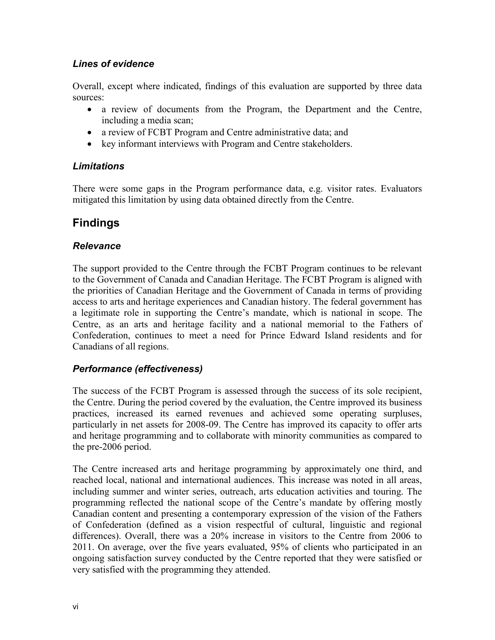#### *Lines of evidence*

Overall, except where indicated, findings of this evaluation are supported by three data sources:

- a review of documents from the Program, the Department and the Centre, including a media scan;
- a review of FCBT Program and Centre administrative data; and
- key informant interviews with Program and Centre stakeholders.

#### *Limitations*

There were some gaps in the Program performance data, e.g. visitor rates. Evaluators mitigated this limitation by using data obtained directly from the Centre.

## **Findings**

#### *Relevance*

The support provided to the Centre through the FCBT Program continues to be relevant to the Government of Canada and Canadian Heritage. The FCBT Program is aligned with the priorities of Canadian Heritage and the Government of Canada in terms of providing access to arts and heritage experiences and Canadian history. The federal government has a legitimate role in supporting the Centre's mandate, which is national in scope. The Centre, as an arts and heritage facility and a national memorial to the Fathers of Confederation, continues to meet a need for Prince Edward Island residents and for Canadians of all regions.

### *Performance (effectiveness)*

The success of the FCBT Program is assessed through the success of its sole recipient, the Centre. During the period covered by the evaluation, the Centre improved its business practices, increased its earned revenues and achieved some operating surpluses, particularly in net assets for 2008-09. The Centre has improved its capacity to offer arts and heritage programming and to collaborate with minority communities as compared to the pre-2006 period.

The Centre increased arts and heritage programming by approximately one third, and reached local, national and international audiences. This increase was noted in all areas, including summer and winter series, outreach, arts education activities and touring. The programming reflected the national scope of the Centre's mandate by offering mostly Canadian content and presenting a contemporary expression of the vision of the Fathers of Confederation (defined as a vision respectful of cultural, linguistic and regional differences). Overall, there was a 20% increase in visitors to the Centre from 2006 to 2011. On average, over the five years evaluated, 95% of clients who participated in an ongoing satisfaction survey conducted by the Centre reported that they were satisfied or very satisfied with the programming they attended.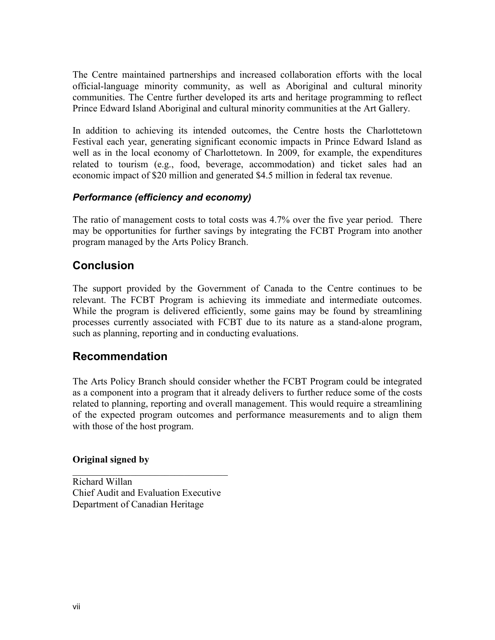The Centre maintained partnerships and increased collaboration efforts with the local official-language minority community, as well as Aboriginal and cultural minority communities. The Centre further developed its arts and heritage programming to reflect Prince Edward Island Aboriginal and cultural minority communities at the Art Gallery.

In addition to achieving its intended outcomes, the Centre hosts the Charlottetown Festival each year, generating significant economic impacts in Prince Edward Island as well as in the local economy of Charlottetown. In 2009, for example, the expenditures related to tourism (e.g., food, beverage, accommodation) and ticket sales had an economic impact of \$20 million and generated \$4.5 million in federal tax revenue.

#### *Performance (efficiency and economy)*

The ratio of management costs to total costs was 4.7% over the five year period. There may be opportunities for further savings by integrating the FCBT Program into another program managed by the Arts Policy Branch.

### **Conclusion**

The support provided by the Government of Canada to the Centre continues to be relevant. The FCBT Program is achieving its immediate and intermediate outcomes. While the program is delivered efficiently, some gains may be found by streamlining processes currently associated with FCBT due to its nature as a stand-alone program, such as planning, reporting and in conducting evaluations.

### **Recommendation**

The Arts Policy Branch should consider whether the FCBT Program could be integrated as a component into a program that it already delivers to further reduce some of the costs related to planning, reporting and overall management. This would require a streamlining of the expected program outcomes and performance measurements and to align them with those of the host program.

#### **Original signed by**

Richard Willan Chief Audit and Evaluation Executive Department of Canadian Heritage

\_\_\_\_\_\_\_\_\_\_\_\_\_\_\_\_\_\_\_\_\_\_\_\_\_\_\_\_\_\_\_\_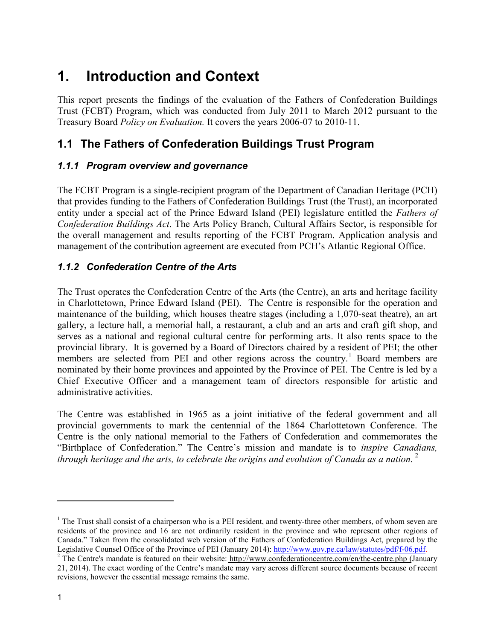## <span id="page-8-0"></span>**1. Introduction and Context**

This report presents the findings of the evaluation of the Fathers of Confederation Buildings Trust (FCBT) Program, which was conducted from July 2011 to March 2012 pursuant to the Treasury Board *Policy on Evaluation.* It covers the years 2006-07 to 2010-11.

## <span id="page-8-1"></span>**1.1 The Fathers of Confederation Buildings Trust Program**

### <span id="page-8-2"></span>*1.1.1 Program overview and governance*

The FCBT Program is a single-recipient program of the Department of Canadian Heritage (PCH) that provides funding to the Fathers of Confederation Buildings Trust (the Trust), an incorporated entity under a special act of the Prince Edward Island (PEI) legislature entitled the *Fathers of Confederation Buildings Act*. The Arts Policy Branch, Cultural Affairs Sector, is responsible for the overall management and results reporting of the FCBT Program. Application analysis and management of the contribution agreement are executed from PCH's Atlantic Regional Office.

### <span id="page-8-3"></span>*1.1.2 Confederation Centre of the Arts*

The Trust operates the Confederation Centre of the Arts (the Centre), an arts and heritage facility in Charlottetown, Prince Edward Island (PEI). The Centre is responsible for the operation and maintenance of the building, which houses theatre stages (including a 1,070-seat theatre), an art gallery, a lecture hall, a memorial hall, a restaurant, a club and an arts and craft gift shop, and serves as a national and regional cultural centre for performing arts. It also rents space to the provincial library. It is governed by a Board of Directors chaired by a resident of PEI; the other members are selected from PEI and other regions across the country.<sup>1</sup> Board members are nominated by their home provinces and appointed by the Province of PEI. The Centre is led by a Chief Executive Officer and a management team of directors responsible for artistic and administrative activities.

The Centre was established in 1965 as a joint initiative of the federal government and all provincial governments to mark the centennial of the 1864 Charlottetown Conference. The Centre is the only national memorial to the Fathers of Confederation and commemorates the "Birthplace of Confederation." The Centre's mission and mandate is to *inspire Canadians, through heritage and the arts, to celebrate the origins and evolution of Canada as a nation.* <sup>2</sup>

<sup>&</sup>lt;sup>1</sup> The Trust shall consist of a chairperson who is a PEI resident, and twenty-three other members, of whom seven are residents of the province and 16 are not ordinarily resident in the province and who represent other regions of Canada." Taken from the consolidated web version of the Fathers of Confederation Buildings Act, prepared by the Legislative Counsel Office of the Province of PEI (January 2014): http://www.gov.pe.ca/law/statutes/pdf/f-06.p

<sup>&</sup>lt;sup>2</sup> The Centre's mandate is featured on their website: [http://www.confederationcentre.com/en/the-centre.php \(](http://www.confederationcentre.com/en/the-centre.php)January 21, 2014). The exact wording of the Centre's mandate may vary across different source documents because of recent revisions, however the essential message remains the same.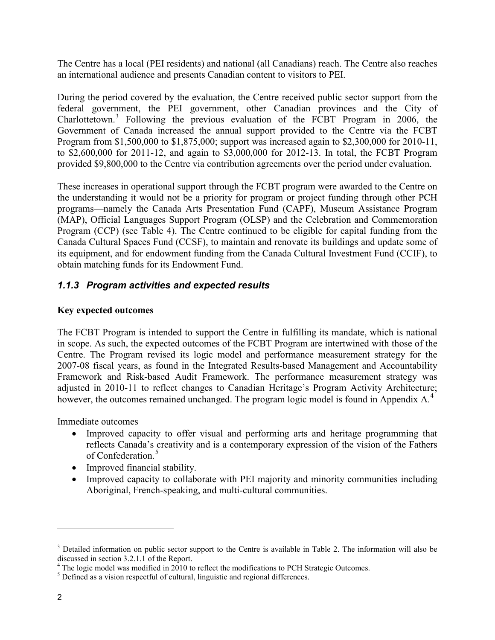The Centre has a local (PEI residents) and national (all Canadians) reach. The Centre also reaches an international audience and presents Canadian content to visitors to PEI.

During the period covered by the evaluation, the Centre received public sector support from the federal government, the PEI government, other Canadian provinces and the City of Charlottetown. <sup>3</sup> Following the previous evaluation of the FCBT Program in 2006, the Government of Canada increased the annual support provided to the Centre via the FCBT Program from \$1,500,000 to \$1,875,000; support was increased again to \$2,300,000 for 2010-11, to \$2,600,000 for 2011-12, and again to \$3,000,000 for 2012-13. In total, the FCBT Program provided \$9,800,000 to the Centre via contribution agreements over the period under evaluation.

These increases in operational support through the FCBT program were awarded to the Centre on the understanding it would not be a priority for program or project funding through other PCH programs—namely the Canada Arts Presentation Fund (CAPF), Museum Assistance Program (MAP), Official Languages Support Program (OLSP) and the Celebration and Commemoration Program (CCP) (see Table 4). The Centre continued to be eligible for capital funding from the Canada Cultural Spaces Fund (CCSF), to maintain and renovate its buildings and update some of its equipment, and for endowment funding from the Canada Cultural Investment Fund (CCIF), to obtain matching funds for its Endowment Fund.

### <span id="page-9-0"></span>*1.1.3 Program activities and expected results*

#### **Key expected outcomes**

The FCBT Program is intended to support the Centre in fulfilling its mandate, which is national in scope. As such, the expected outcomes of the FCBT Program are intertwined with those of the Centre. The Program revised its logic model and performance measurement strategy for the 2007-08 fiscal years, as found in the Integrated Results-based Management and Accountability Framework and Risk-based Audit Framework. The performance measurement strategy was adjusted in 2010-11 to reflect changes to Canadian Heritage's Program Activity Architecture; however, the outcomes remained unchanged. The program logic model is found in Appendix A.<sup>4</sup>

Immediate outcomes

- Improved capacity to offer visual and performing arts and heritage programming that reflects Canada's creativity and is a contemporary expression of the vision of the Fathers of Confederation.<sup>5</sup>
- Improved financial stability.
- Improved capacity to collaborate with PEI majority and minority communities including Aboriginal, French-speaking, and multi-cultural communities.

 $3$  Detailed information on public sector support to the Centre is available in Table 2. The information will also be discussed in section  $3.2.1.1$  of the Report.

 $\frac{4}{1}$  The logic model was modified in 2010 to reflect the modifications to PCH Strategic Outcomes.  $\frac{5}{1}$  Defined as a vision respectful of cultural, linguistic and regional differences.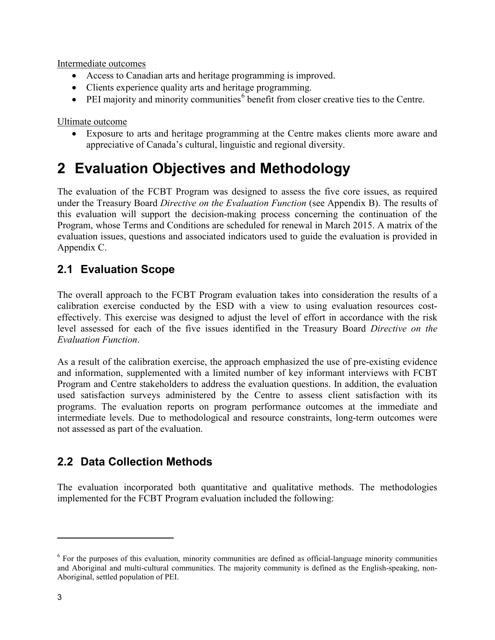Intermediate outcomes

- Access to Canadian arts and heritage programming is improved.
- Clients experience quality arts and heritage programming.
- PEI majority and minority communities<sup> $6$ </sup> benefit from closer creative ties to the Centre.

Ultimate outcome

• Exposure to arts and heritage programming at the Centre makes clients more aware and appreciative of Canada's cultural, linguistic and regional diversity.

## <span id="page-10-0"></span>**2 Evaluation Objectives and Methodology**

The evaluation of the FCBT Program was designed to assess the five core issues, as required under the Treasury Board *Directive on the Evaluation Function* (see Appendix B). The results of this evaluation will support the decision-making process concerning the continuation of the Program, whose Terms and Conditions are scheduled for renewal in March 2015. A matrix of the evaluation issues, questions and associated indicators used to guide the evaluation is provided in Appendix C.

## <span id="page-10-1"></span>**2.1 Evaluation Scope**

The overall approach to the FCBT Program evaluation takes into consideration the results of a calibration exercise conducted by the ESD with a view to using evaluation resources costeffectively. This exercise was designed to adjust the level of effort in accordance with the risk level assessed for each of the five issues identified in the Treasury Board *Directive on the Evaluation Function*.

As a result of the calibration exercise, the approach emphasized the use of pre-existing evidence and information, supplemented with a limited number of key informant interviews with FCBT Program and Centre stakeholders to address the evaluation questions. In addition, the evaluation used satisfaction surveys administered by the Centre to assess client satisfaction with its programs. The evaluation reports on program performance outcomes at the immediate and intermediate levels. Due to methodological and resource constraints, long-term outcomes were not assessed as part of the evaluation.

## <span id="page-10-2"></span>**2.2 Data Collection Methods**

The evaluation incorporated both quantitative and qualitative methods. The methodologies implemented for the FCBT Program evaluation included the following:

<sup>&</sup>lt;sup>6</sup> For the purposes of this evaluation, minority communities are defined as official-language minority communities and Aboriginal and multi-cultural communities. The majority community is defined as the English-speaking, non-Aboriginal, settled population of PEI.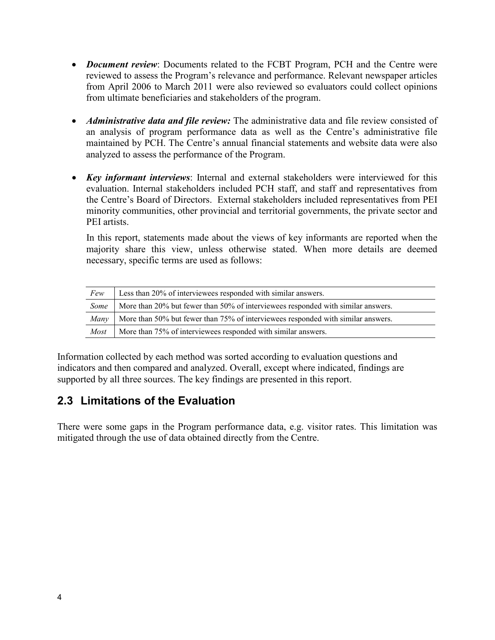- *Document review*: Documents related to the FCBT Program, PCH and the Centre were reviewed to assess the Program's relevance and performance. Relevant newspaper articles from April 2006 to March 2011 were also reviewed so evaluators could collect opinions from ultimate beneficiaries and stakeholders of the program.
- *Administrative data and file review*: The administrative data and file review consisted of an analysis of program performance data as well as the Centre's administrative file maintained by PCH. The Centre's annual financial statements and website data were also analyzed to assess the performance of the Program.
- *Key informant interviews*: Internal and external stakeholders were interviewed for this evaluation. Internal stakeholders included PCH staff, and staff and representatives from the Centre's Board of Directors. External stakeholders included representatives from PEI minority communities, other provincial and territorial governments, the private sector and PEI artists.

In this report, statements made about the views of key informants are reported when the majority share this view, unless otherwise stated. When more details are deemed necessary, specific terms are used as follows:

| Few         | Less than 20% of interviewees responded with similar answers.                    |
|-------------|----------------------------------------------------------------------------------|
| Some        | More than 20% but fewer than 50% of interviewees responded with similar answers. |
| Many        | More than 50% but fewer than 75% of interviewees responded with similar answers. |
| <i>Most</i> | More than 75% of interviewees responded with similar answers.                    |

Information collected by each method was sorted according to evaluation questions and indicators and then compared and analyzed. Overall, except where indicated, findings are supported by all three sources. The key findings are presented in this report.

## <span id="page-11-0"></span>**2.3 Limitations of the Evaluation**

There were some gaps in the Program performance data, e.g. visitor rates. This limitation was mitigated through the use of data obtained directly from the Centre.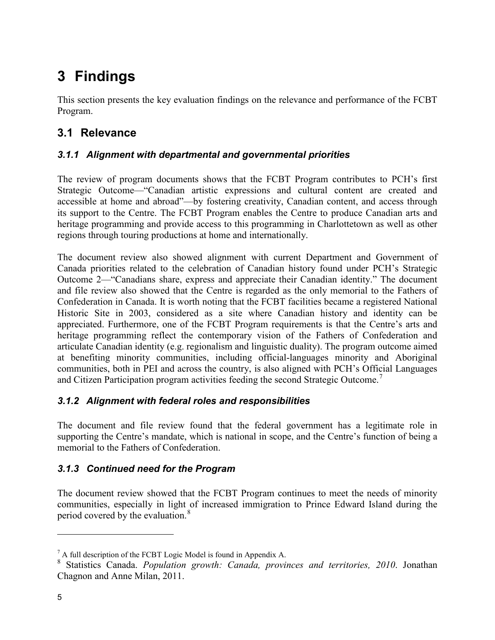# <span id="page-12-0"></span>**3 Findings**

This section presents the key evaluation findings on the relevance and performance of the FCBT Program.

## <span id="page-12-1"></span>**3.1 Relevance**

### <span id="page-12-2"></span>*3.1.1 Alignment with departmental and governmental priorities*

The review of program documents shows that the FCBT Program contributes to PCH's first Strategic Outcome—"Canadian artistic expressions and cultural content are created and accessible at home and abroad"—by fostering creativity, Canadian content, and access through its support to the Centre. The FCBT Program enables the Centre to produce Canadian arts and heritage programming and provide access to this programming in Charlottetown as well as other regions through touring productions at home and internationally.

The document review also showed alignment with current Department and Government of Canada priorities related to the celebration of Canadian history found under PCH's Strategic Outcome 2—"Canadians share, express and appreciate their Canadian identity." The document and file review also showed that the Centre is regarded as the only memorial to the Fathers of Confederation in Canada. It is worth noting that the FCBT facilities became a registered National Historic Site in 2003, considered as a site where Canadian history and identity can be appreciated. Furthermore, one of the FCBT Program requirements is that the Centre's arts and heritage programming reflect the contemporary vision of the Fathers of Confederation and articulate Canadian identity (e.g. regionalism and linguistic duality). The program outcome aimed at benefiting minority communities, including official-languages minority and Aboriginal communities, both in PEI and across the country, is also aligned with PCH's Official Languages and Citizen Participation program activities feeding the second Strategic Outcome.<sup>7</sup>

### <span id="page-12-3"></span>*3.1.2 Alignment with federal roles and responsibilities*

The document and file review found that the federal government has a legitimate role in supporting the Centre's mandate, which is national in scope, and the Centre's function of being a memorial to the Fathers of Confederation.

### <span id="page-12-4"></span>*3.1.3 Continued need for the Program*

The document review showed that the FCBT Program continues to meet the needs of minority communities, especially in light of increased immigration to Prince Edward Island during the period covered by the evaluation.<sup>8</sup>

 $<sup>7</sup>$  A full description of the FCBT Logic Model is found in Appendix A.</sup>

<sup>8</sup> Statistics Canada. *Population growth: Canada, provinces and territories, 2010*. Jonathan Chagnon and Anne Milan, 2011.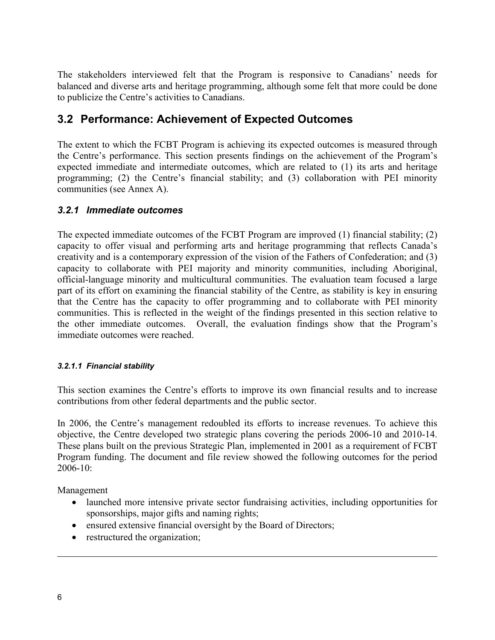The stakeholders interviewed felt that the Program is responsive to Canadians' needs for balanced and diverse arts and heritage programming, although some felt that more could be done to publicize the Centre's activities to Canadians.

## <span id="page-13-0"></span>**3.2 Performance: Achievement of Expected Outcomes**

The extent to which the FCBT Program is achieving its expected outcomes is measured through the Centre's performance. This section presents findings on the achievement of the Program's expected immediate and intermediate outcomes, which are related to (1) its arts and heritage programming; (2) the Centre's financial stability; and (3) collaboration with PEI minority communities (see Annex A).

#### <span id="page-13-1"></span>*3.2.1 Immediate outcomes*

The expected immediate outcomes of the FCBT Program are improved (1) financial stability; (2) capacity to offer visual and performing arts and heritage programming that reflects Canada's creativity and is a contemporary expression of the vision of the Fathers of Confederation; and (3) capacity to collaborate with PEI majority and minority communities, including Aboriginal, official-language minority and multicultural communities. The evaluation team focused a large part of its effort on examining the financial stability of the Centre, as stability is key in ensuring that the Centre has the capacity to offer programming and to collaborate with PEI minority communities. This is reflected in the weight of the findings presented in this section relative to the other immediate outcomes. Overall, the evaluation findings show that the Program's immediate outcomes were reached.

#### <span id="page-13-2"></span>*3.2.1.1 Financial stability*

This section examines the Centre's efforts to improve its own financial results and to increase contributions from other federal departments and the public sector.

In 2006, the Centre's management redoubled its efforts to increase revenues. To achieve this objective, the Centre developed two strategic plans covering the periods 2006-10 and 2010-14. These plans built on the previous Strategic Plan, implemented in 2001 as a requirement of FCBT Program funding. The document and file review showed the following outcomes for the period  $2006 - 10$ :

Management

- launched more intensive private sector fundraising activities, including opportunities for sponsorships, major gifts and naming rights;
- ensured extensive financial oversight by the Board of Directors;
- restructured the organization;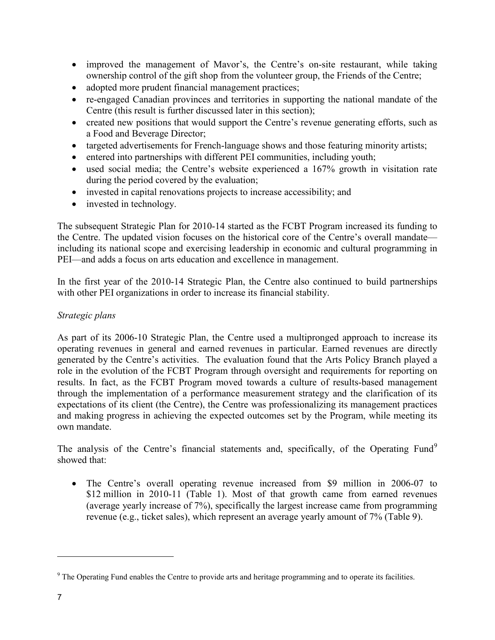- improved the management of Mavor's, the Centre's on-site restaurant, while taking ownership control of the gift shop from the volunteer group, the Friends of the Centre;
- adopted more prudent financial management practices;
- re-engaged Canadian provinces and territories in supporting the national mandate of the Centre (this result is further discussed later in this section);
- created new positions that would support the Centre's revenue generating efforts, such as a Food and Beverage Director;
- targeted advertisements for French-language shows and those featuring minority artists;
- entered into partnerships with different PEI communities, including youth;
- used social media; the Centre's website experienced a 167% growth in visitation rate during the period covered by the evaluation;
- invested in capital renovations projects to increase accessibility; and
- invested in technology.

The subsequent Strategic Plan for 2010-14 started as the FCBT Program increased its funding to the Centre. The updated vision focuses on the historical core of the Centre's overall mandate including its national scope and exercising leadership in economic and cultural programming in PEI—and adds a focus on arts education and excellence in management.

In the first year of the 2010-14 Strategic Plan, the Centre also continued to build partnerships with other PEI organizations in order to increase its financial stability.

#### *Strategic plans*

As part of its 2006-10 Strategic Plan, the Centre used a multipronged approach to increase its operating revenues in general and earned revenues in particular. Earned revenues are directly generated by the Centre's activities. The evaluation found that the Arts Policy Branch played a role in the evolution of the FCBT Program through oversight and requirements for reporting on results. In fact, as the FCBT Program moved towards a culture of results-based management through the implementation of a performance measurement strategy and the clarification of its expectations of its client (the Centre), the Centre was professionalizing its management practices and making progress in achieving the expected outcomes set by the Program, while meeting its own mandate.

The analysis of the Centre's financial statements and, specifically, of the Operating Fund<sup>9</sup> showed that:

• The Centre's overall operating revenue increased from \$9 million in 2006-07 to \$12 million in 2010-11 (Table 1). Most of that growth came from earned revenues (average yearly increase of 7%), specifically the largest increase came from programming revenue (e.g., ticket sales), which represent an average yearly amount of 7% (Table 9).

<sup>&</sup>lt;sup>9</sup> The Operating Fund enables the Centre to provide arts and heritage programming and to operate its facilities.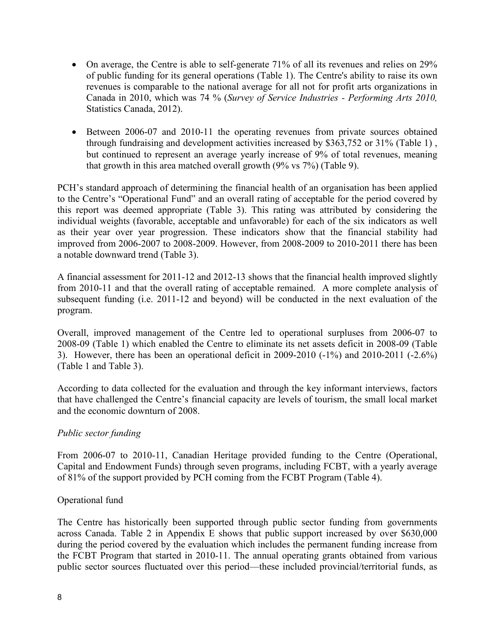- On average, the Centre is able to self-generate 71% of all its revenues and relies on 29% of public funding for its general operations (Table 1). The Centre's ability to raise its own revenues is comparable to the national average for all not for profit arts organizations in Canada in 2010, which was 74 % (*Survey of Service Industries - Performing Arts 2010,* Statistics Canada, 2012).
- Between 2006-07 and 2010-11 the operating revenues from private sources obtained through fundraising and development activities increased by \$363,752 or 31% (Table 1) , but continued to represent an average yearly increase of 9% of total revenues, meaning that growth in this area matched overall growth (9% vs 7%) (Table 9).

PCH's standard approach of determining the financial health of an organisation has been applied to the Centre's "Operational Fund" and an overall rating of acceptable for the period covered by this report was deemed appropriate (Table 3). This rating was attributed by considering the individual weights (favorable, acceptable and unfavorable) for each of the six indicators as well as their year over year progression. These indicators show that the financial stability had improved from 2006-2007 to 2008-2009. However, from 2008-2009 to 2010-2011 there has been a notable downward trend (Table 3).

A financial assessment for 2011-12 and 2012-13 shows that the financial health improved slightly from 2010-11 and that the overall rating of acceptable remained. A more complete analysis of subsequent funding (i.e. 2011-12 and beyond) will be conducted in the next evaluation of the program.

Overall, improved management of the Centre led to operational surpluses from 2006-07 to 2008-09 (Table 1) which enabled the Centre to eliminate its net assets deficit in 2008-09 (Table 3). However, there has been an operational deficit in 2009-2010 (-1%) and 2010-2011 (-2.6%) (Table 1 and Table 3).

According to data collected for the evaluation and through the key informant interviews, factors that have challenged the Centre's financial capacity are levels of tourism, the small local market and the economic downturn of 2008.

#### *Public sector funding*

From 2006-07 to 2010-11, Canadian Heritage provided funding to the Centre (Operational, Capital and Endowment Funds) through seven programs, including FCBT, with a yearly average of 81% of the support provided by PCH coming from the FCBT Program (Table 4).

#### Operational fund

The Centre has historically been supported through public sector funding from governments across Canada. Table 2 in Appendix E shows that public support increased by over \$630,000 during the period covered by the evaluation which includes the permanent funding increase from the FCBT Program that started in 2010-11. The annual operating grants obtained from various public sector sources fluctuated over this period—these included provincial/territorial funds, as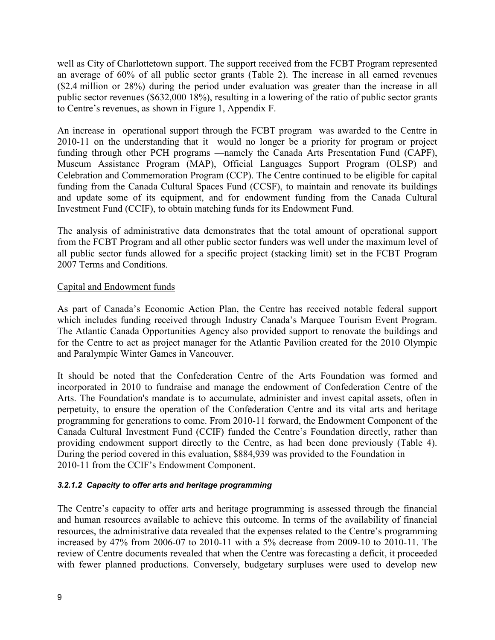well as City of Charlottetown support. The support received from the FCBT Program represented an average of 60% of all public sector grants (Table 2). The increase in all earned revenues (\$2.4 million or 28%) during the period under evaluation was greater than the increase in all public sector revenues (\$632,000 18%), resulting in a lowering of the ratio of public sector grants to Centre's revenues, as shown in Figure 1, Appendix F.

An increase in operational support through the FCBT program was awarded to the Centre in 2010-11 on the understanding that it would no longer be a priority for program or project funding through other PCH programs —namely the Canada Arts Presentation Fund (CAPF), Museum Assistance Program (MAP), Official Languages Support Program (OLSP) and Celebration and Commemoration Program (CCP). The Centre continued to be eligible for capital funding from the Canada Cultural Spaces Fund (CCSF), to maintain and renovate its buildings and update some of its equipment, and for endowment funding from the Canada Cultural Investment Fund (CCIF), to obtain matching funds for its Endowment Fund.

The analysis of administrative data demonstrates that the total amount of operational support from the FCBT Program and all other public sector funders was well under the maximum level of all public sector funds allowed for a specific project (stacking limit) set in the FCBT Program 2007 Terms and Conditions.

#### Capital and Endowment funds

As part of Canada's Economic Action Plan, the Centre has received notable federal support which includes funding received through Industry Canada's Marquee Tourism Event Program. The Atlantic Canada Opportunities Agency also provided support to renovate the buildings and for the Centre to act as project manager for the Atlantic Pavilion created for the 2010 Olympic and Paralympic Winter Games in Vancouver.

It should be noted that the Confederation Centre of the Arts Foundation was formed and incorporated in 2010 to fundraise and manage the endowment of Confederation Centre of the Arts. The Foundation's mandate is to accumulate, administer and invest capital assets, often in perpetuity, to ensure the operation of the Confederation Centre and its vital arts and heritage programming for generations to come. From 2010-11 forward, the Endowment Component of the Canada Cultural Investment Fund (CCIF) funded the Centre's Foundation directly, rather than providing endowment support directly to the Centre, as had been done previously (Table 4). During the period covered in this evaluation, \$884,939 was provided to the Foundation in 2010-11 from the CCIF's Endowment Component.

#### <span id="page-16-0"></span>*3.2.1.2 Capacity to offer arts and heritage programming*

The Centre's capacity to offer arts and heritage programming is assessed through the financial and human resources available to achieve this outcome. In terms of the availability of financial resources, the administrative data revealed that the expenses related to the Centre's programming increased by 47% from 2006-07 to 2010-11 with a 5% decrease from 2009-10 to 2010-11. The review of Centre documents revealed that when the Centre was forecasting a deficit, it proceeded with fewer planned productions. Conversely, budgetary surpluses were used to develop new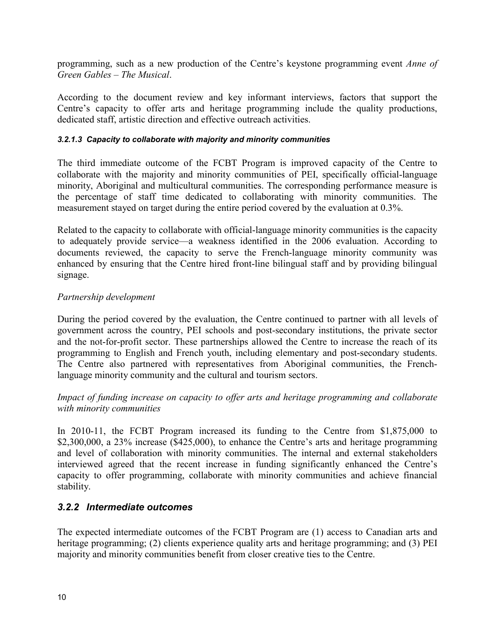programming, such as a new production of the Centre's keystone programming event *Anne of Green Gables – The Musical*.

According to the document review and key informant interviews, factors that support the Centre's capacity to offer arts and heritage programming include the quality productions, dedicated staff, artistic direction and effective outreach activities.

#### <span id="page-17-0"></span>*3.2.1.3 Capacity to collaborate with majority and minority communities*

The third immediate outcome of the FCBT Program is improved capacity of the Centre to collaborate with the majority and minority communities of PEI, specifically official-language minority, Aboriginal and multicultural communities. The corresponding performance measure is the percentage of staff time dedicated to collaborating with minority communities. The measurement stayed on target during the entire period covered by the evaluation at 0.3%.

Related to the capacity to collaborate with official-language minority communities is the capacity to adequately provide service—a weakness identified in the 2006 evaluation. According to documents reviewed, the capacity to serve the French-language minority community was enhanced by ensuring that the Centre hired front-line bilingual staff and by providing bilingual signage.

#### *Partnership development*

During the period covered by the evaluation, the Centre continued to partner with all levels of government across the country, PEI schools and post-secondary institutions, the private sector and the not-for-profit sector. These partnerships allowed the Centre to increase the reach of its programming to English and French youth, including elementary and post-secondary students. The Centre also partnered with representatives from Aboriginal communities, the Frenchlanguage minority community and the cultural and tourism sectors.

*Impact of funding increase on capacity to offer arts and heritage programming and collaborate with minority communities* 

In 2010-11, the FCBT Program increased its funding to the Centre from \$1,875,000 to \$2,300,000, a 23% increase (\$425,000), to enhance the Centre's arts and heritage programming and level of collaboration with minority communities. The internal and external stakeholders interviewed agreed that the recent increase in funding significantly enhanced the Centre's capacity to offer programming, collaborate with minority communities and achieve financial stability.

#### <span id="page-17-1"></span>*3.2.2 Intermediate outcomes*

The expected intermediate outcomes of the FCBT Program are (1) access to Canadian arts and heritage programming; (2) clients experience quality arts and heritage programming; and (3) PEI majority and minority communities benefit from closer creative ties to the Centre.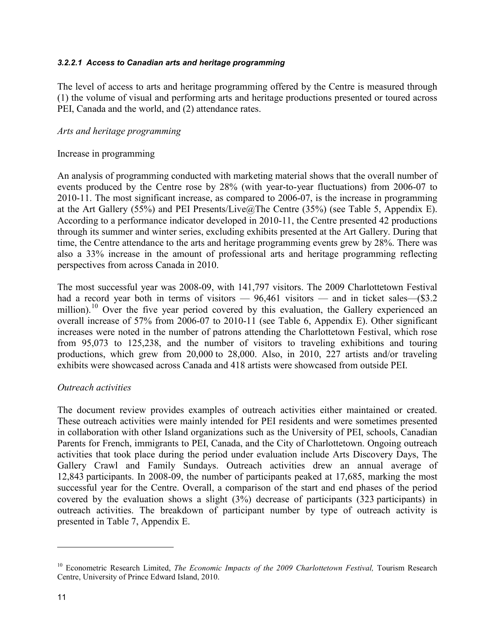#### <span id="page-18-0"></span>*3.2.2.1 Access to Canadian arts and heritage programming*

The level of access to arts and heritage programming offered by the Centre is measured through (1) the volume of visual and performing arts and heritage productions presented or toured across PEI, Canada and the world, and (2) attendance rates.

#### *Arts and heritage programming*

#### Increase in programming

An analysis of programming conducted with marketing material shows that the overall number of events produced by the Centre rose by 28% (with year-to-year fluctuations) from 2006-07 to 2010-11. The most significant increase, as compared to 2006-07, is the increase in programming at the Art Gallery (55%) and PEI Presents/Live $@$ The Centre (35%) (see Table 5, Appendix E). According to a performance indicator developed in 2010-11, the Centre presented 42 productions through its summer and winter series, excluding exhibits presented at the Art Gallery. During that time, the Centre attendance to the arts and heritage programming events grew by 28%. There was also a 33% increase in the amount of professional arts and heritage programming reflecting perspectives from across Canada in 2010.

The most successful year was 2008-09, with 141,797 visitors. The 2009 Charlottetown Festival had a record year both in terms of visitors — 96,461 visitors — and in ticket sales—(\$3.2) million).<sup>10</sup> Over the five year period covered by this evaluation, the Gallery experienced an overall increase of 57% from 2006-07 to 2010-11 (see Table 6, Appendix E). Other significant increases were noted in the number of patrons attending the Charlottetown Festival, which rose from 95,073 to 125,238, and the number of visitors to traveling exhibitions and touring productions, which grew from 20,000 to 28,000. Also, in 2010, 227 artists and/or traveling exhibits were showcased across Canada and 418 artists were showcased from outside PEI.

#### *Outreach activities*

The document review provides examples of outreach activities either maintained or created. These outreach activities were mainly intended for PEI residents and were sometimes presented in collaboration with other Island organizations such as the University of PEI, schools, Canadian Parents for French, immigrants to PEI, Canada, and the City of Charlottetown. Ongoing outreach activities that took place during the period under evaluation include Arts Discovery Days, The Gallery Crawl and Family Sundays. Outreach activities drew an annual average of 12,843 participants. In 2008-09, the number of participants peaked at 17,685, marking the most successful year for the Centre. Overall, a comparison of the start and end phases of the period covered by the evaluation shows a slight (3%) decrease of participants (323 participants) in outreach activities. The breakdown of participant number by type of outreach activity is presented in Table 7, Appendix E.

<sup>&</sup>lt;sup>10</sup> Econometric Research Limited, *The Economic Impacts of the 2009 Charlottetown Festival*, Tourism Research Centre, University of Prince Edward Island, 2010.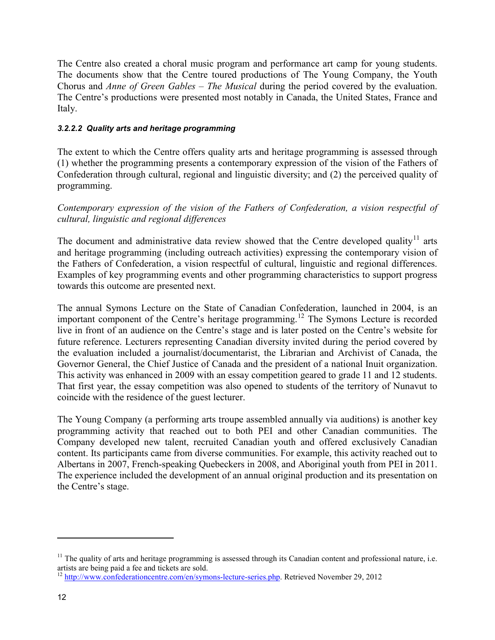The Centre also created a choral music program and performance art camp for young students. The documents show that the Centre toured productions of The Young Company, the Youth Chorus and *Anne of Green Gables – The Musical* during the period covered by the evaluation. The Centre's productions were presented most notably in Canada, the United States, France and Italy.

#### <span id="page-19-0"></span>*3.2.2.2 Quality arts and heritage programming*

The extent to which the Centre offers quality arts and heritage programming is assessed through (1) whether the programming presents a contemporary expression of the vision of the Fathers of Confederation through cultural, regional and linguistic diversity; and (2) the perceived quality of programming.

*Contemporary expression of the vision of the Fathers of Confederation, a vision respectful of cultural, linguistic and regional differences*

The document and administrative data review showed that the Centre developed quality<sup>11</sup> arts and heritage programming (including outreach activities) expressing the contemporary vision of the Fathers of Confederation, a vision respectful of cultural, linguistic and regional differences. Examples of key programming events and other programming characteristics to support progress towards this outcome are presented next.

The annual Symons Lecture on the State of Canadian Confederation, launched in 2004, is an important component of the Centre's heritage programming.<sup>12</sup> The Symons Lecture is recorded live in front of an audience on the Centre's stage and is later posted on the Centre's website for future reference. Lecturers representing Canadian diversity invited during the period covered by the evaluation included a journalist/documentarist, the Librarian and Archivist of Canada, the Governor General, the Chief Justice of Canada and the president of a national Inuit organization. This activity was enhanced in 2009 with an essay competition geared to grade 11 and 12 students. That first year, the essay competition was also opened to students of the territory of Nunavut to coincide with the residence of the guest lecturer.

The Young Company (a performing arts troupe assembled annually via auditions) is another key programming activity that reached out to both PEI and other Canadian communities. The Company developed new talent, recruited Canadian youth and offered exclusively Canadian content. Its participants came from diverse communities. For example, this activity reached out to Albertans in 2007, French-speaking Quebeckers in 2008, and Aboriginal youth from PEI in 2011. The experience included the development of an annual original production and its presentation on the Centre's stage.

 $11$  The quality of arts and heritage programming is assessed through its Canadian content and professional nature, i.e. artists are being paid a fee and tickets are sold.

<sup>&</sup>lt;sup>12</sup> [http://www.confederationcentre.com/en/symons-lecture-series.php.](http://www.confederationcentre.com/en/symons-lecture-series.php) Retrieved November 29, 2012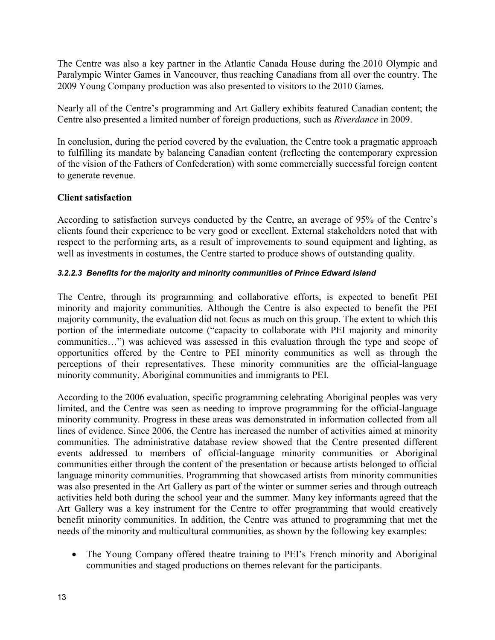The Centre was also a key partner in the Atlantic Canada House during the 2010 Olympic and Paralympic Winter Games in Vancouver, thus reaching Canadians from all over the country. The 2009 Young Company production was also presented to visitors to the 2010 Games.

Nearly all of the Centre's programming and Art Gallery exhibits featured Canadian content; the Centre also presented a limited number of foreign productions, such as *Riverdance* in 2009.

In conclusion, during the period covered by the evaluation, the Centre took a pragmatic approach to fulfilling its mandate by balancing Canadian content (reflecting the contemporary expression of the vision of the Fathers of Confederation) with some commercially successful foreign content to generate revenue.

#### **Client satisfaction**

According to satisfaction surveys conducted by the Centre, an average of 95% of the Centre's clients found their experience to be very good or excellent. External stakeholders noted that with respect to the performing arts, as a result of improvements to sound equipment and lighting, as well as investments in costumes, the Centre started to produce shows of outstanding quality.

#### <span id="page-20-0"></span>*3.2.2.3 Benefits for the majority and minority communities of Prince Edward Island*

The Centre, through its programming and collaborative efforts, is expected to benefit PEI minority and majority communities. Although the Centre is also expected to benefit the PEI majority community, the evaluation did not focus as much on this group. The extent to which this portion of the intermediate outcome ("capacity to collaborate with PEI majority and minority communities…") was achieved was assessed in this evaluation through the type and scope of opportunities offered by the Centre to PEI minority communities as well as through the perceptions of their representatives. These minority communities are the official-language minority community, Aboriginal communities and immigrants to PEI.

According to the 2006 evaluation, specific programming celebrating Aboriginal peoples was very limited, and the Centre was seen as needing to improve programming for the official-language minority community. Progress in these areas was demonstrated in information collected from all lines of evidence. Since 2006, the Centre has increased the number of activities aimed at minority communities. The administrative database review showed that the Centre presented different events addressed to members of official-language minority communities or Aboriginal communities either through the content of the presentation or because artists belonged to official language minority communities. Programming that showcased artists from minority communities was also presented in the Art Gallery as part of the winter or summer series and through outreach activities held both during the school year and the summer. Many key informants agreed that the Art Gallery was a key instrument for the Centre to offer programming that would creatively benefit minority communities. In addition, the Centre was attuned to programming that met the needs of the minority and multicultural communities, as shown by the following key examples:

• The Young Company offered theatre training to PEI's French minority and Aboriginal communities and staged productions on themes relevant for the participants.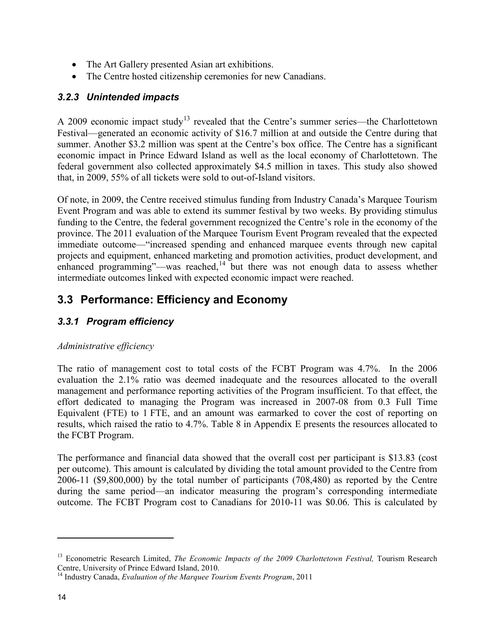- The Art Gallery presented Asian art exhibitions.
- The Centre hosted citizenship ceremonies for new Canadians.

#### <span id="page-21-0"></span>*3.2.3 Unintended impacts*

A 2009 economic impact study<sup>13</sup> revealed that the Centre's summer series—the Charlottetown Festival—generated an economic activity of \$16.7 million at and outside the Centre during that summer. Another \$3.2 million was spent at the Centre's box office. The Centre has a significant economic impact in Prince Edward Island as well as the local economy of Charlottetown. The federal government also collected approximately \$4.5 million in taxes. This study also showed that, in 2009, 55% of all tickets were sold to out-of-Island visitors.

Of note, in 2009, the Centre received stimulus funding from Industry Canada's Marquee Tourism Event Program and was able to extend its summer festival by two weeks. By providing stimulus funding to the Centre, the federal government recognized the Centre's role in the economy of the province. The 2011 evaluation of the Marquee Tourism Event Program revealed that the expected immediate outcome—"increased spending and enhanced marquee events through new capital projects and equipment, enhanced marketing and promotion activities, product development, and enhanced programming"—was reached, $14$  but there was not enough data to assess whether intermediate outcomes linked with expected economic impact were reached.

## <span id="page-21-1"></span>**3.3 Performance: Efficiency and Economy**

### <span id="page-21-2"></span>*3.3.1 Program efficiency*

#### *Administrative efficiency*

The ratio of management cost to total costs of the FCBT Program was 4.7%. In the 2006 evaluation the 2.1% ratio was deemed inadequate and the resources allocated to the overall management and performance reporting activities of the Program insufficient. To that effect, the effort dedicated to managing the Program was increased in 2007-08 from 0.3 Full Time Equivalent (FTE) to 1 FTE, and an amount was earmarked to cover the cost of reporting on results, which raised the ratio to 4.7%. Table 8 in Appendix E presents the resources allocated to the FCBT Program.

The performance and financial data showed that the overall cost per participant is \$13.83 (cost per outcome). This amount is calculated by dividing the total amount provided to the Centre from 2006-11 (\$9,800,000) by the total number of participants (708,480) as reported by the Centre during the same period—an indicator measuring the program's corresponding intermediate outcome. The FCBT Program cost to Canadians for 2010-11 was \$0.06. This is calculated by

<sup>&</sup>lt;sup>13</sup> Econometric Research Limited, *The Economic Impacts of the 2009 Charlottetown Festival*, Tourism Research Centre, University of Prince Edward Island, 2010.

<sup>14</sup> Industry Canada, *Evaluation of the Marquee Tourism Events Program*, 2011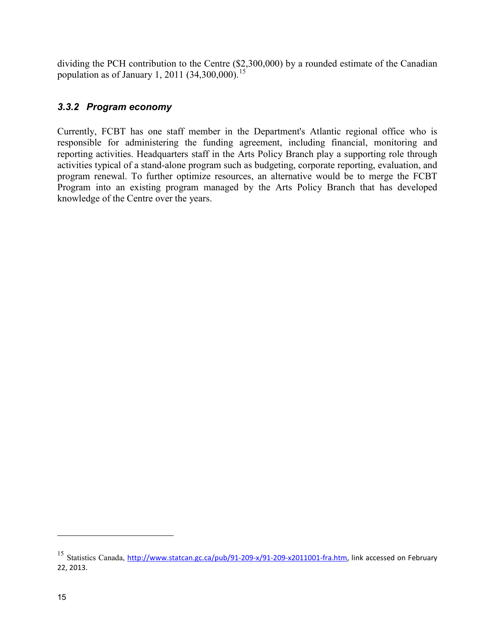dividing the PCH contribution to the Centre (\$2,300,000) by a rounded estimate of the Canadian population as of January 1, 2011 (34,300,000).<sup>15</sup>

#### <span id="page-22-0"></span>*3.3.2 Program economy*

Currently, FCBT has one staff member in the Department's Atlantic regional office who is responsible for administering the funding agreement, including financial, monitoring and reporting activities. Headquarters staff in the Arts Policy Branch play a supporting role through activities typical of a stand-alone program such as budgeting, corporate reporting, evaluation, and program renewal. To further optimize resources, an alternative would be to merge the FCBT Program into an existing program managed by the Arts Policy Branch that has developed knowledge of the Centre over the years.

<sup>&</sup>lt;sup>15</sup> Statistics Canada, [http://www.statcan.gc.ca/pub/91-209-x/91-209-x2011001-fra.htm,](http://www.statcan.gc.ca/pub/91-209-x/91-209-x2011001-fra.htm) link accessed on February 22, 2013.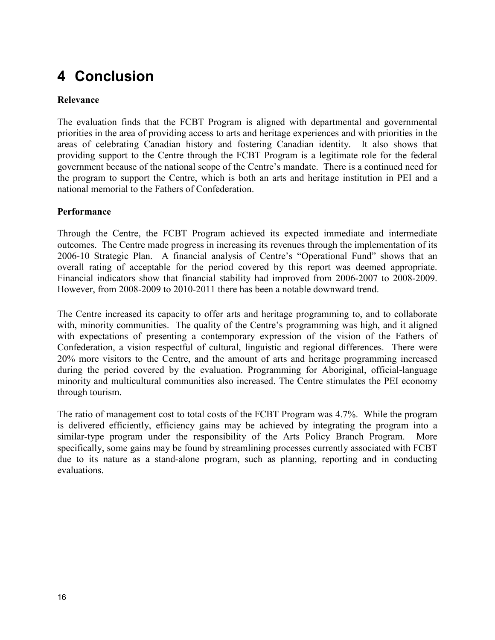## <span id="page-23-0"></span>**4 Conclusion**

#### **Relevance**

The evaluation finds that the FCBT Program is aligned with departmental and governmental priorities in the area of providing access to arts and heritage experiences and with priorities in the areas of celebrating Canadian history and fostering Canadian identity. It also shows that providing support to the Centre through the FCBT Program is a legitimate role for the federal government because of the national scope of the Centre's mandate. There is a continued need for the program to support the Centre, which is both an arts and heritage institution in PEI and a national memorial to the Fathers of Confederation.

#### **Performance**

Through the Centre, the FCBT Program achieved its expected immediate and intermediate outcomes. The Centre made progress in increasing its revenues through the implementation of its 2006-10 Strategic Plan. A financial analysis of Centre's "Operational Fund" shows that an overall rating of acceptable for the period covered by this report was deemed appropriate. Financial indicators show that financial stability had improved from 2006-2007 to 2008-2009. However, from 2008-2009 to 2010-2011 there has been a notable downward trend.

The Centre increased its capacity to offer arts and heritage programming to, and to collaborate with, minority communities. The quality of the Centre's programming was high, and it aligned with expectations of presenting a contemporary expression of the vision of the Fathers of Confederation, a vision respectful of cultural, linguistic and regional differences. There were 20% more visitors to the Centre, and the amount of arts and heritage programming increased during the period covered by the evaluation. Programming for Aboriginal, official-language minority and multicultural communities also increased. The Centre stimulates the PEI economy through tourism.

The ratio of management cost to total costs of the FCBT Program was 4.7%. While the program is delivered efficiently, efficiency gains may be achieved by integrating the program into a similar-type program under the responsibility of the Arts Policy Branch Program. More specifically, some gains may be found by streamlining processes currently associated with FCBT due to its nature as a stand-alone program, such as planning, reporting and in conducting evaluations.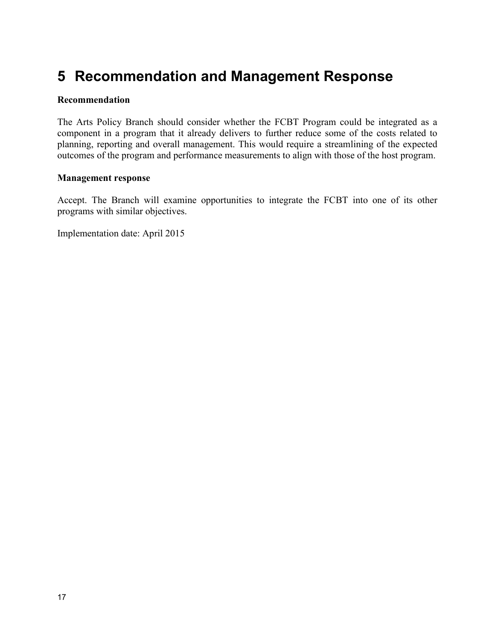## <span id="page-24-0"></span>**5 Recommendation and Management Response**

#### **Recommendation**

The Arts Policy Branch should consider whether the FCBT Program could be integrated as a component in a program that it already delivers to further reduce some of the costs related to planning, reporting and overall management. This would require a streamlining of the expected outcomes of the program and performance measurements to align with those of the host program.

#### **Management response**

Accept. The Branch will examine opportunities to integrate the FCBT into one of its other programs with similar objectives.

Implementation date: April 2015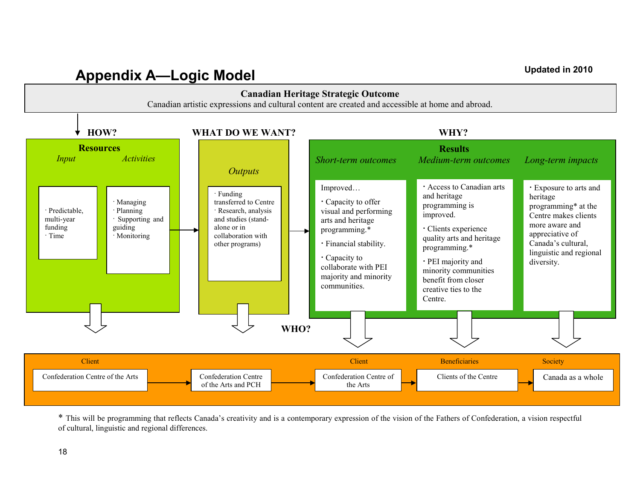# **Appendix A—Logic Model Updated in 2010**

<span id="page-25-0"></span>

\* This will be programming that reflects Canada's creativity and is a contemporary expression of the vision of the Fathers of Confederation, a vision respectful of cultural, linguistic and regional differences.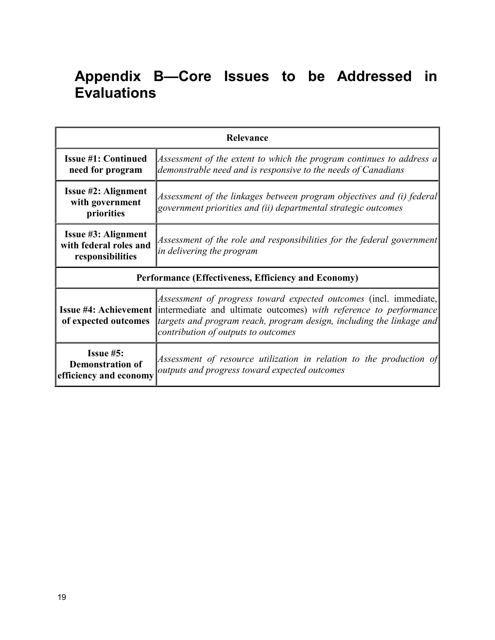## <span id="page-26-0"></span>**Appendix B—Core Issues to be Addressed in Evaluations**

| Relevance                                                                                                                                                                                              |                                                                                                                                                                                                                                                                                    |  |  |  |
|--------------------------------------------------------------------------------------------------------------------------------------------------------------------------------------------------------|------------------------------------------------------------------------------------------------------------------------------------------------------------------------------------------------------------------------------------------------------------------------------------|--|--|--|
| <b>Issue #1: Continued</b><br>Assessment of the extent to which the program continues to address a<br>demonstrable need and is responsive to the needs of Canadians<br>need for program                |                                                                                                                                                                                                                                                                                    |  |  |  |
| <b>Issue #2: Alignment</b><br>Assessment of the linkages between program objectives and (i) federal<br>with government<br>government priorities and (ii) departmental strategic outcomes<br>priorities |                                                                                                                                                                                                                                                                                    |  |  |  |
| <b>Issue #3: Alignment</b><br>with federal roles and<br>responsibilities                                                                                                                               | Assessment of the role and responsibilities for the federal government<br>in delivering the program                                                                                                                                                                                |  |  |  |
| Performance (Effectiveness, Efficiency and Economy)                                                                                                                                                    |                                                                                                                                                                                                                                                                                    |  |  |  |
| of expected outcomes                                                                                                                                                                                   | Assessment of progress toward expected outcomes (incl. immediate,<br><b>Issue #4: Achievement</b> intermediate and ultimate outcomes) with reference to performance<br>targets and program reach, program design, including the linkage and<br>contribution of outputs to outcomes |  |  |  |
| <b>Issue <math>#5</math>:</b><br><b>Demonstration of</b><br>efficiency and economy                                                                                                                     | Assessment of resource utilization in relation to the production of<br>outputs and progress toward expected outcomes                                                                                                                                                               |  |  |  |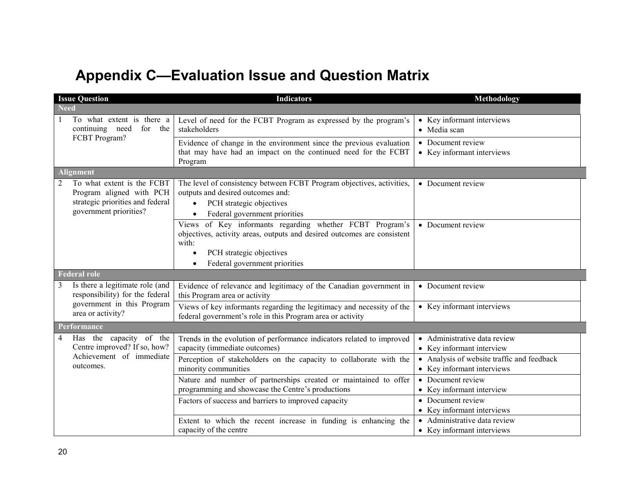## **Appendix C—Evaluation Issue and Question Matrix**

<span id="page-27-0"></span>

| <b>Issue Question</b>                                                                                                                  | <b>Indicators</b>                                                                                                                                                                                         | Methodology                                                              |  |
|----------------------------------------------------------------------------------------------------------------------------------------|-----------------------------------------------------------------------------------------------------------------------------------------------------------------------------------------------------------|--------------------------------------------------------------------------|--|
| <b>Need</b>                                                                                                                            |                                                                                                                                                                                                           |                                                                          |  |
| To what extent is there a<br>continuing need<br>for the                                                                                | Level of need for the FCBT Program as expressed by the program's<br>stakeholders                                                                                                                          | • Key informant interviews<br>• Media scan                               |  |
| FCBT Program?                                                                                                                          | Evidence of change in the environment since the previous evaluation<br>that may have had an impact on the continued need for the FCBT<br>Program                                                          | • Document review<br>• Key informant interviews                          |  |
| Alignment                                                                                                                              |                                                                                                                                                                                                           |                                                                          |  |
| $\overline{2}$<br>To what extent is the FCBT<br>Program aligned with PCH<br>strategic priorities and federal<br>government priorities? | The level of consistency between FCBT Program objectives, activities,<br>outputs and desired outcomes and:<br>PCH strategic objectives<br>Federal government priorities                                   | • Document review                                                        |  |
|                                                                                                                                        | Views of Key informants regarding whether FCBT Program's<br>objectives, activity areas, outputs and desired outcomes are consistent<br>with:<br>PCH strategic objectives<br>Federal government priorities | • Document review                                                        |  |
| <b>Federal role</b>                                                                                                                    |                                                                                                                                                                                                           |                                                                          |  |
| Is there a legitimate role (and<br>responsibility) for the federal                                                                     | Evidence of relevance and legitimacy of the Canadian government in<br>this Program area or activity                                                                                                       | • Document review                                                        |  |
| government in this Program<br>area or activity?                                                                                        | Views of key informants regarding the legitimacy and necessity of the<br>federal government's role in this Program area or activity                                                                       | • Key informant interviews                                               |  |
| Performance                                                                                                                            |                                                                                                                                                                                                           |                                                                          |  |
| Has the capacity of the<br>4<br>Centre improved? If so, how?                                                                           | Trends in the evolution of performance indicators related to improved<br>capacity (immediate outcomes)                                                                                                    | • Administrative data review<br>• Key informant interview                |  |
| Achievement of immediate<br>outcomes.                                                                                                  | Perception of stakeholders on the capacity to collaborate with the<br>minority communities                                                                                                                | • Analysis of website traffic and feedback<br>• Key informant interviews |  |
|                                                                                                                                        | Nature and number of partnerships created or maintained to offer<br>programming and showcase the Centre's productions                                                                                     | • Document review<br>• Key informant interview                           |  |
|                                                                                                                                        | Factors of success and barriers to improved capacity                                                                                                                                                      | • Document review<br>• Key informant interviews                          |  |
|                                                                                                                                        | Extent to which the recent increase in funding is enhancing the<br>capacity of the centre                                                                                                                 | Administrative data review<br>• Key informant interviews                 |  |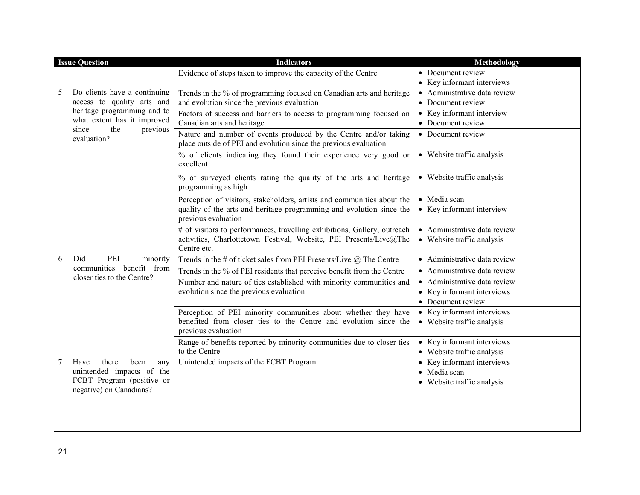|   | <b>Issue Question</b>                                      | <b>Indicators</b>                                                                                                                    | Methodology                                              |  |
|---|------------------------------------------------------------|--------------------------------------------------------------------------------------------------------------------------------------|----------------------------------------------------------|--|
|   |                                                            | Evidence of steps taken to improve the capacity of the Centre                                                                        | • Document review                                        |  |
|   |                                                            |                                                                                                                                      | • Key informant interviews                               |  |
| 5 | Do clients have a continuing                               | Trends in the % of programming focused on Canadian arts and heritage                                                                 | • Administrative data review                             |  |
|   | access to quality arts and                                 | and evolution since the previous evaluation                                                                                          | • Document review                                        |  |
|   | heritage programming and to<br>what extent has it improved | Factors of success and barriers to access to programming focused on                                                                  | • Key informant interview                                |  |
|   | the<br>previous<br>since                                   | Canadian arts and heritage                                                                                                           | • Document review                                        |  |
|   | evaluation?                                                | Nature and number of events produced by the Centre and/or taking<br>place outside of PEI and evolution since the previous evaluation | • Document review                                        |  |
|   |                                                            | % of clients indicating they found their experience very good or<br>excellent                                                        | • Website traffic analysis                               |  |
|   |                                                            | % of surveyed clients rating the quality of the arts and heritage<br>programming as high                                             | • Website traffic analysis                               |  |
|   |                                                            | Perception of visitors, stakeholders, artists and communities about the                                                              | · Media scan                                             |  |
|   |                                                            | quality of the arts and heritage programming and evolution since the<br>previous evaluation                                          | • Key informant interview                                |  |
|   |                                                            | # of visitors to performances, travelling exhibitions, Gallery, outreach                                                             | • Administrative data review                             |  |
|   |                                                            | activities, Charlottetown Festival, Website, PEI Presents/Live@The<br>Centre etc.                                                    | • Website traffic analysis                               |  |
| 6 | Did<br>PEI<br>minority                                     | Trends in the # of ticket sales from PEI Presents/Live $\omega$ , The Centre                                                         | • Administrative data review                             |  |
|   | communities benefit from<br>closer ties to the Centre?     | Trends in the % of PEI residents that perceive benefit from the Centre                                                               | • Administrative data review                             |  |
|   |                                                            | Number and nature of ties established with minority communities and                                                                  | • Administrative data review                             |  |
|   |                                                            | evolution since the previous evaluation                                                                                              | • Key informant interviews                               |  |
|   |                                                            |                                                                                                                                      | • Document review                                        |  |
|   |                                                            | Perception of PEI minority communities about whether they have                                                                       | • Key informant interviews                               |  |
|   |                                                            | benefited from closer ties to the Centre and evolution since the<br>previous evaluation                                              | • Website traffic analysis                               |  |
|   |                                                            | Range of benefits reported by minority communities due to closer ties<br>to the Centre                                               | • Key informant interviews<br>• Website traffic analysis |  |
|   | there<br>Have<br>been<br>any                               | Unintended impacts of the FCBT Program                                                                                               | • Key informant interviews                               |  |
|   | unintended impacts of the                                  |                                                                                                                                      | • Media scan                                             |  |
|   | FCBT Program (positive or                                  |                                                                                                                                      | • Website traffic analysis                               |  |
|   | negative) on Canadians?                                    |                                                                                                                                      |                                                          |  |
|   |                                                            |                                                                                                                                      |                                                          |  |
|   |                                                            |                                                                                                                                      |                                                          |  |
|   |                                                            |                                                                                                                                      |                                                          |  |
|   |                                                            |                                                                                                                                      |                                                          |  |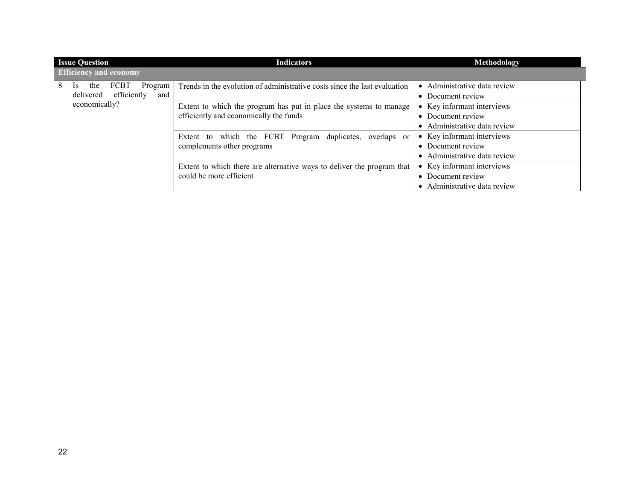| <b>Issue Question</b>                    | <b>Indicators</b>                                                                                                                                                                                                                        | Methodology                           |  |
|------------------------------------------|------------------------------------------------------------------------------------------------------------------------------------------------------------------------------------------------------------------------------------------|---------------------------------------|--|
| <b>Efficiency and economy</b>            |                                                                                                                                                                                                                                          |                                       |  |
| 8<br><b>FCBT</b><br>the<br>Program<br>1s | Trends in the evolution of administrative costs since the last evaluation                                                                                                                                                                | Administrative data review            |  |
| delivered<br>efficiently<br>and          |                                                                                                                                                                                                                                          | • Document review                     |  |
| economically?                            | Extent to which the program has put in place the systems to manage                                                                                                                                                                       | Key informant interviews              |  |
|                                          | efficiently and economically the funds<br>Extent to which the FCBT Program duplicates,<br>overlaps or<br>complements other programs<br>Extent to which there are alternative ways to deliver the program that<br>could be more efficient | Document review                       |  |
|                                          |                                                                                                                                                                                                                                          | Administrative data review            |  |
|                                          |                                                                                                                                                                                                                                          | • Key informant interviews            |  |
|                                          |                                                                                                                                                                                                                                          | Document review<br>$\bullet$          |  |
|                                          |                                                                                                                                                                                                                                          | • Administrative data review          |  |
|                                          |                                                                                                                                                                                                                                          | Key informant interviews<br>$\bullet$ |  |
|                                          |                                                                                                                                                                                                                                          | Document review<br>$\bullet$          |  |
|                                          |                                                                                                                                                                                                                                          | Administrative data review            |  |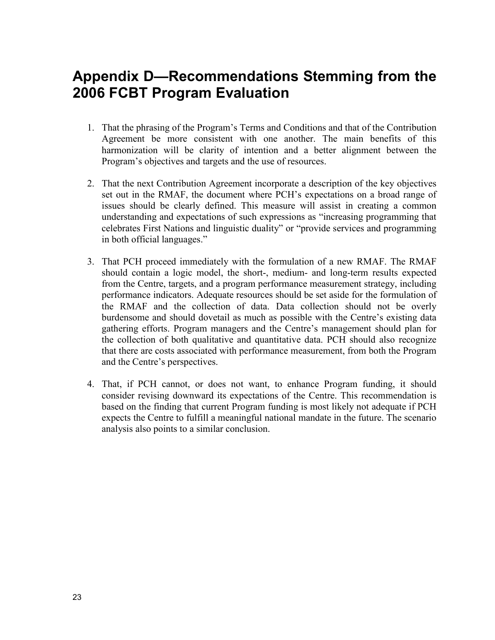## <span id="page-30-0"></span>**Appendix D—Recommendations Stemming from the 2006 FCBT Program Evaluation**

- 1. That the phrasing of the Program's Terms and Conditions and that of the Contribution Agreement be more consistent with one another. The main benefits of this harmonization will be clarity of intention and a better alignment between the Program's objectives and targets and the use of resources.
- 2. That the next Contribution Agreement incorporate a description of the key objectives set out in the RMAF, the document where PCH's expectations on a broad range of issues should be clearly defined. This measure will assist in creating a common understanding and expectations of such expressions as "increasing programming that celebrates First Nations and linguistic duality" or "provide services and programming in both official languages."
- 3. That PCH proceed immediately with the formulation of a new RMAF. The RMAF should contain a logic model, the short-, medium- and long-term results expected from the Centre, targets, and a program performance measurement strategy, including performance indicators. Adequate resources should be set aside for the formulation of the RMAF and the collection of data. Data collection should not be overly burdensome and should dovetail as much as possible with the Centre's existing data gathering efforts. Program managers and the Centre's management should plan for the collection of both qualitative and quantitative data. PCH should also recognize that there are costs associated with performance measurement, from both the Program and the Centre's perspectives.
- 4. That, if PCH cannot, or does not want, to enhance Program funding, it should consider revising downward its expectations of the Centre. This recommendation is based on the finding that current Program funding is most likely not adequate if PCH expects the Centre to fulfill a meaningful national mandate in the future. The scenario analysis also points to a similar conclusion.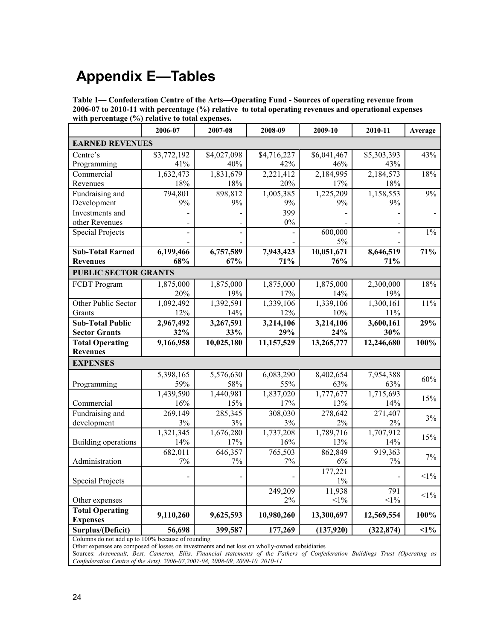## <span id="page-31-0"></span>**Appendix E—Tables**

| Table 1— Confederation Centre of the Arts—Operating Fund - Sources of operating revenue from         |
|------------------------------------------------------------------------------------------------------|
| 2006-07 to 2010-11 with percentage (%) relative to total operating revenues and operational expenses |
| with percentage $(\% )$ relative to total expenses.                                                  |

|                                           | 2006-07     | 2007-08     | 2008-09     | 2009-10     | 2010-11     | Average |
|-------------------------------------------|-------------|-------------|-------------|-------------|-------------|---------|
| <b>EARNED REVENUES</b>                    |             |             |             |             |             |         |
| Centre's                                  | \$3,772,192 | \$4,027,098 | \$4,716,227 | \$6,041,467 | \$5,303,393 | 43%     |
| Programming                               | 41%         | 40%         | 42%         | 46%         | 43%         |         |
| Commercial                                | 1,632,473   | 1,831,679   | 2,221,412   | 2,184,995   | 2,184,573   | 18%     |
| Revenues                                  | $18\%$      | 18%         | 20%         | 17%         | 18%         |         |
| Fundraising and                           | 794,801     | 898,812     | 1,005,385   | 1,225,209   | 1,158,553   | 9%      |
| Development                               | $9\%$       | 9%          | 9%          | 9%          | 9%          |         |
| Investments and                           |             |             | 399         |             |             |         |
| other Revenues                            |             |             | $0\%$       |             |             |         |
| <b>Special Projects</b>                   |             |             |             | 600,000     |             | $1\%$   |
|                                           |             |             |             | 5%          |             |         |
| <b>Sub-Total Earned</b>                   | 6,199,466   | 6,757,589   | 7,943,423   | 10,051,671  | 8,646,519   | 71%     |
| <b>Revenues</b>                           | 68%         | 67%         | 71%         | 76%         | 71%         |         |
| <b>PUBLIC SECTOR GRANTS</b>               |             |             |             |             |             |         |
| FCBT Program                              | 1,875,000   | 1,875,000   | 1,875,000   | 1,875,000   | 2,300,000   | 18%     |
|                                           | 20%         | 19%         | 17%         | 14%         | 19%         |         |
| Other Public Sector                       | 1,092,492   | 1,392,591   | 1,339,106   | 1,339,106   | 1,300,161   | 11%     |
| Grants                                    | 12%         | 14%         | 12%         | 10%         | 11%         |         |
| <b>Sub-Total Public</b>                   | 2,967,492   | 3,267,591   | 3,214,106   | 3,214,106   | 3,600,161   | 29%     |
| <b>Sector Grants</b>                      | 32%         | 33%         | 29%         | 24%         | 30%         |         |
| <b>Total Operating</b>                    | 9,166,958   | 10,025,180  | 11,157,529  | 13,265,777  | 12,246,680  | 100%    |
| <b>Revenues</b>                           |             |             |             |             |             |         |
| <b>EXPENSES</b>                           |             |             |             |             |             |         |
|                                           | 5,398,165   | 5,576,630   | 6,083,290   | 8,402,654   | 7,954,388   | 60%     |
| Programming                               | 59%         | 58%         | 55%         | 63%         | 63%         |         |
|                                           | 1,439,590   | 1,440,981   | 1,837,020   | 1,777,677   | 1,715,693   | 15%     |
| Commercial                                | 16%         | 15%         | 17%         | 13%         | 14%         |         |
| Fundraising and                           | 269,149     | 285,345     | 308,030     | 278,642     | 271,407     | 3%      |
| development                               | 3%          | 3%          | 3%          | 2%          | $2\%$       |         |
|                                           | 1,321,345   | 1,676,280   | 1,737,208   | 1,789,716   | 1,707,912   | 15%     |
| Building operations                       | 14%         | 17%         | 16%         | 13%         | 14%         |         |
|                                           | 682,011     | 646,357     | 765,503     | 862,849     | 919,363     | 7%      |
| Administration                            | $7\%$       | $7\%$       | $7\%$       | 6%          | 7%          |         |
|                                           |             |             |             | 177,221     |             | $<1\%$  |
| <b>Special Projects</b>                   |             |             |             | $1\%$       |             |         |
|                                           |             |             | 249,209     | 11,938      | 791         | $<1\%$  |
| Other expenses                            |             |             | 2%          | $<$ 1%      | $<1\%$      |         |
| <b>Total Operating</b><br><b>Expenses</b> | 9,110,260   | 9,625,593   | 10,980,260  | 13,300,697  | 12,569,554  | 100%    |
| Surplus/(Deficit)                         | 56,698      | 399,587     | 177,269     | (137,920)   | (322, 874)  | $1\%$   |
|                                           |             |             |             |             |             |         |

Columns do not add up to 100% because of rounding

Other expenses are composed of losses on investments and net loss on wholly-owned subsidiaries

Sources: *Arseneault, Best, Cameron, Ellis. Financial statements of the Fathers of Confederation Buildings Trust (Operating as Confederation Centre of the Arts). 2006-07,2007-08, 2008-09, 2009-10, 2010-11*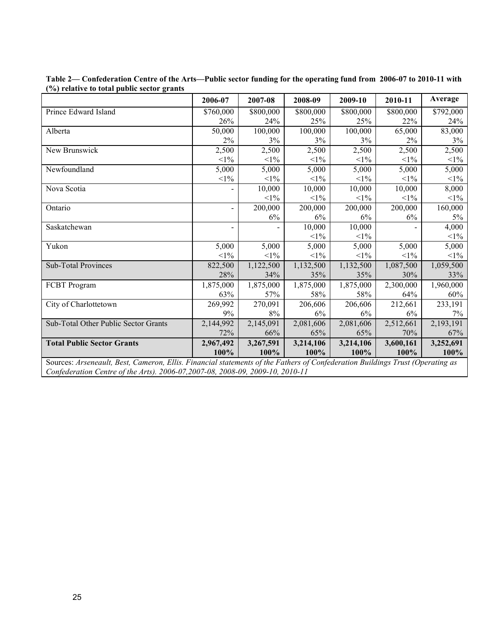|                                      | 2006-07        | 2007-08   | 2008-09   | 2009-10   | 2010-11   | Average   |
|--------------------------------------|----------------|-----------|-----------|-----------|-----------|-----------|
| Prince Edward Island                 | \$760,000      | \$800,000 | \$800,000 | \$800,000 | \$800,000 | \$792,000 |
|                                      | 26%            | 24%       | 25%       | 25%       | 22%       | 24%       |
| Alberta                              | 50,000         | 100,000   | 100,000   | 100,000   | 65,000    | 83,000    |
|                                      | 2%             | 3%        | $3\%$     | 3%        | 2%        | 3%        |
| New Brunswick                        | 2,500          | 2,500     | 2,500     | 2,500     | 2,500     | 2,500     |
|                                      | $<1\%$         | $<1\%$    | $<1\%$    | $<1\%$    | $<1\%$    | $<1\%$    |
| Newfoundland                         | 5,000          | 5,000     | 5,000     | 5,000     | 5,000     | 5,000     |
|                                      | $<$ 1%         | $<$ 1%    | $<1\%$    | $<1\%$    | $<1\%$    | $<1\%$    |
| Nova Scotia                          |                | 10,000    | 10,000    | 10,000    | 10,000    | 8,000     |
|                                      |                | $<1\%$    | $<1\%$    | $<1\%$    | $<1\%$    | $<1\%$    |
| Ontario                              | $\blacksquare$ | 200,000   | 200,000   | 200,000   | 200,000   | 160,000   |
|                                      |                | 6%        | 6%        | 6%        | 6%        | 5%        |
| Saskatchewan                         |                |           | 10,000    | 10,000    |           | 4,000     |
|                                      |                |           | $<1\%$    | $<1\%$    |           | $<1\%$    |
| Yukon                                | 5,000          | 5,000     | 5,000     | 5,000     | 5,000     | 5,000     |
|                                      | $<1\%$         | $<1\%$    | $<1\%$    | $<1\%$    | $<1\%$    | $<1\%$    |
| <b>Sub-Total Provinces</b>           | 822,500        | 1,122,500 | 1,132,500 | 1,132,500 | 1,087,500 | 1,059,500 |
|                                      | 28%            | 34%       | 35%       | 35%       | 30%       | 33%       |
| FCBT Program                         | 1,875,000      | 1,875,000 | 1,875,000 | 1,875,000 | 2,300,000 | 1,960,000 |
|                                      | 63%            | 57%       | 58%       | 58%       | 64%       | 60%       |
| City of Charlottetown                | 269,992        | 270,091   | 206,606   | 206,606   | 212,661   | 233,191   |
|                                      | 9%             | 8%        | 6%        | 6%        | 6%        | 7%        |
| Sub-Total Other Public Sector Grants | 2,144,992      | 2,145,091 | 2,081,606 | 2,081,606 | 2,512,661 | 2,193,191 |
|                                      | 72%            | 66%       | 65%       | 65%       | 70%       | 67%       |
| <b>Total Public Sector Grants</b>    | 2,967,492      | 3,267,591 | 3,214,106 | 3,214,106 | 3,600,161 | 3,252,691 |
|                                      | 100%           | 100%      | 100%      | 100%      | 100%      | 100%      |

| Table 2— Confederation Centre of the Arts—Public sector funding for the operating fund from 2006-07 to 2010-11 with |  |
|---------------------------------------------------------------------------------------------------------------------|--|
| (%) relative to total public sector grants                                                                          |  |

Sources: *Arseneault, Best, Cameron, Ellis. Financial statements of the Fathers of Confederation Buildings Trust (Operating as Confederation Centre of the Arts). 2006-07,2007-08, 2008-09, 2009-10, 2010-11*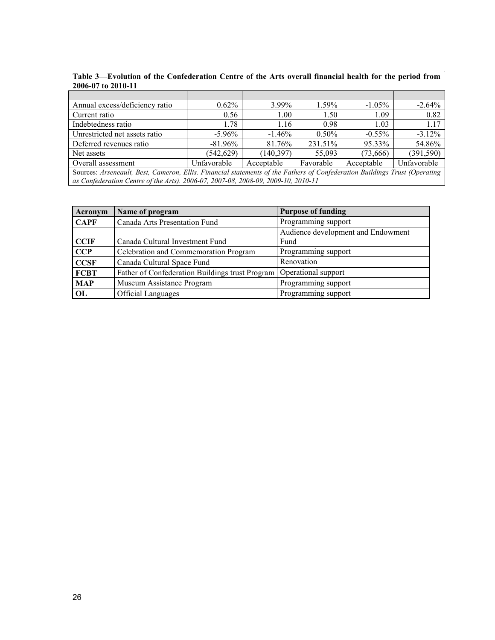| Annual excess/deficiency ratio                                                                                             | $0.62\%$    | 3.99%             | $1.59\%$  | $-1.05\%$  | $-2.64%$    |  |  |  |
|----------------------------------------------------------------------------------------------------------------------------|-------------|-------------------|-----------|------------|-------------|--|--|--|
| Current ratio                                                                                                              | 0.56        | 1.00 <sub>l</sub> | 1.50      | 1.09       | 0.82        |  |  |  |
| Indebtedness ratio                                                                                                         | 1.78        | 1.16              | 0.98      | 1.03       | 1.17        |  |  |  |
| Unrestricted net assets ratio                                                                                              | $-5.96\%$   | $-1.46\%$         | $0.50\%$  | $-0.55\%$  | $-3.12%$    |  |  |  |
| Deferred revenues ratio                                                                                                    | $-81.96\%$  | 81.76%            | 231.51%   | 95.33%     | 54.86%      |  |  |  |
| Net assets                                                                                                                 | (542, 629)  | (140, 397)        | 55.093    | (73,666)   | (391, 590)  |  |  |  |
| Overall assessment                                                                                                         | Unfavorable | Acceptable        | Favorable | Acceptable | Unfavorable |  |  |  |
| Sources: Arseneault, Best, Cameron, Ellis. Financial statements of the Fathers of Confederation Buildings Trust (Operating |             |                   |           |            |             |  |  |  |
| as Confederation Centre of the Arts). 2006-07, 2007-08, 2008-09, 2009-10, 2010-11                                          |             |                   |           |            |             |  |  |  |

**Table 3—Evolution of the Confederation Centre of the Arts overall financial health for the period from 2006-07 to 2010-11**

| Acronym     | Name of program                                 | <b>Purpose of funding</b>          |
|-------------|-------------------------------------------------|------------------------------------|
| <b>CAPF</b> | Canada Arts Presentation Fund                   | Programming support                |
|             |                                                 | Audience development and Endowment |
| <b>CCIF</b> | Canada Cultural Investment Fund                 | Fund                               |
| CCP         | Celebration and Commemoration Program           | Programming support                |
| <b>CCSF</b> | Canada Cultural Space Fund                      | Renovation                         |
| <b>FCBT</b> | Father of Confederation Buildings trust Program | Operational support                |
| <b>MAP</b>  | Museum Assistance Program                       | Programming support                |
| OL          | <b>Official Languages</b>                       | Programming support                |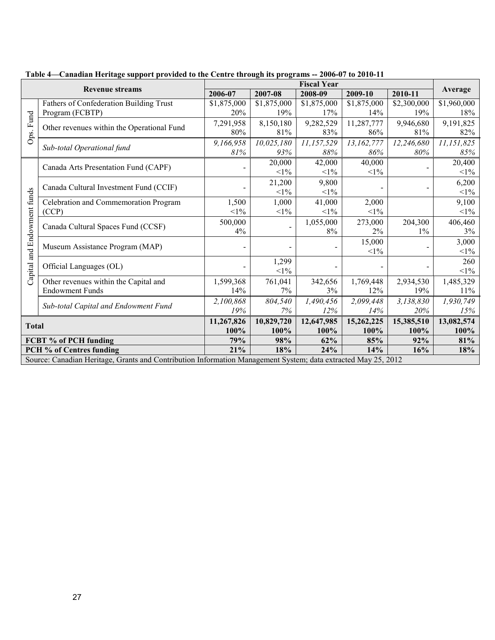|                                                                                                               | <b>Revenue streams</b>                     | 2006-07     | 2007-08     | <b>Fiscal Year</b><br>2008-09 | 2009-10     | 2010-11     | Average     |
|---------------------------------------------------------------------------------------------------------------|--------------------------------------------|-------------|-------------|-------------------------------|-------------|-------------|-------------|
|                                                                                                               | Fathers of Confederation Building Trust    | \$1,875,000 | \$1,875,000 | \$1,875,000                   | \$1,875,000 | \$2,300,000 | \$1,960,000 |
|                                                                                                               | Program (FCBTP)                            | 20%         | 19%         | 17%                           | 14%         | 19%         | 18%         |
|                                                                                                               | Other revenues within the Operational Fund | 7,291,958   | 8,150,180   | 9,282,529                     | 11,287,777  | 9,946,680   | 9,191,825   |
| Ops. Fund                                                                                                     |                                            | 80%         | 81%         | 83%                           | 86%         | 81%         | 82%         |
|                                                                                                               | Sub-total Operational fund                 | 9,166,958   | 10,025,180  | 11,157,529                    | 13,162,777  | 12,246,680  | 11,151,825  |
|                                                                                                               |                                            | 81%         | 93%         | 88%                           | 86%         | 80%         | 85%         |
|                                                                                                               | Canada Arts Presentation Fund (CAPF)       |             | 20,000      | 42,000                        | 40,000      |             | 20,400      |
|                                                                                                               |                                            |             | $<1\%$      | $<1\%$                        | $<1\%$      |             | $<1\%$      |
|                                                                                                               |                                            |             | 21,200      | 9,800                         |             |             | 6,200       |
|                                                                                                               | Canada Cultural Investment Fund (CCIF)     |             | $<1\%$      | $<1\%$                        |             |             | $<1\%$      |
| and Endowment funds                                                                                           | Celebration and Commemoration Program      | 1,500       | 1,000       | 41,000                        | 2,000       |             | 9,100       |
|                                                                                                               | (CCP)                                      | $<1\%$      | $<1\%$      | $<$ 1%                        | $<1\%$      |             | $<1\%$      |
|                                                                                                               | Canada Cultural Spaces Fund (CCSF)         | 500,000     |             | 1,055,000                     | 273,000     | 204,300     | 406,460     |
|                                                                                                               |                                            | 4%          |             | 8%                            | 2%          | $1\%$       | 3%          |
|                                                                                                               |                                            |             |             |                               | 15,000      |             | 3,000       |
|                                                                                                               | Museum Assistance Program (MAP)            |             |             |                               | $<1\%$      |             | $<1\%$      |
|                                                                                                               |                                            |             | 1,299       |                               |             |             | 260         |
| Capital:                                                                                                      | Official Languages (OL)                    |             | $<1\%$      |                               |             |             | $<1\%$      |
|                                                                                                               | Other revenues within the Capital and      | 1,599,368   | 761,041     | 342,656                       | 1,769,448   | 2,934,530   | 1,485,329   |
|                                                                                                               | <b>Endowment Funds</b>                     | 14%         | 7%          | 3%                            | 12%         | 19%         | $11\%$      |
|                                                                                                               |                                            | 2,100,868   | 804,540     | 1,490,456                     | 2,099,448   | 3,138,830   | 1,930,749   |
|                                                                                                               | Sub-total Capital and Endowment Fund       | 19%         | 7%          | 12%                           | 14%         | 20%         | 15%         |
| <b>Total</b>                                                                                                  |                                            | 11,267,826  | 10,829,720  | 12,647,985                    | 15,262,225  | 15,385,510  | 13,082,574  |
|                                                                                                               |                                            | 100%        | 100%        | 100%                          | 100%        | 100%        | 100%        |
|                                                                                                               | FCBT % of PCH funding                      | 79%         | 98%         | 62%                           | 85%         | 92%         | 81%         |
| PCH % of Centres funding                                                                                      |                                            | 21%         | 18%         | 24%                           | 14%         | 16%         | 18%         |
| Source: Canadian Heritage, Grants and Contribution Information Management System; data extracted May 25, 2012 |                                            |             |             |                               |             |             |             |

**Table 4—Canadian Heritage support provided to the Centre through its programs -- 2006-07 to 2010-11**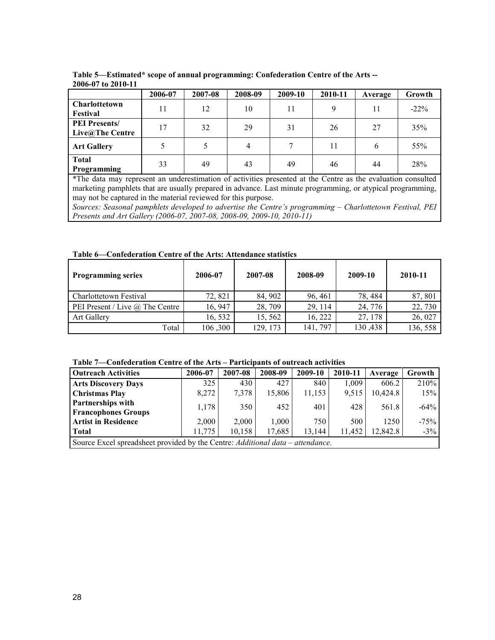|                                                                                                              | 2006-07 | 2007-08 | 2008-09 | 2009-10 | 2010-11 | Average | Growth  |  |
|--------------------------------------------------------------------------------------------------------------|---------|---------|---------|---------|---------|---------|---------|--|
| Charlottetown                                                                                                | 11      | 12      | 10      |         | 9       | 11      | $-22\%$ |  |
| Festival                                                                                                     |         |         |         |         |         |         |         |  |
| <b>PEI Presents/</b>                                                                                         | 17      | 32      | 29      | 31      | 26      | 27      | 35%     |  |
| Live@The Centre                                                                                              |         |         |         |         |         |         |         |  |
| <b>Art Gallery</b>                                                                                           |         |         | 4       |         | 11      | 6       | 55%     |  |
| <b>Total</b><br>Programming                                                                                  | 33      | 49      | 43      | 49      | 46      | 44      | 28%     |  |
| *The data may represent an underestimation of activities presented at the Centre as the evaluation consulted |         |         |         |         |         |         |         |  |

**Table 5—Estimated\* scope of annual programming: Confederation Centre of the Arts -- 2006-07 to 2010-11**

\*The data may represent an underestimation of activities presented at the Centre as the evaluation consulted marketing pamphlets that are usually prepared in advance. Last minute programming, or atypical programming, may not be captured in the material reviewed for this purpose.

*Sources: Seasonal pamphlets developed to advertise the Centre's programming – Charlottetown Festival, PEI Presents and Art Gallery (2006-07, 2007-08, 2008-09, 2009-10, 2010-11)*

**Table 6—Confederation Centre of the Arts: Attendance statistics**

| <b>Programming series</b>              | 2006-07 | 2007-08  | 2008-09  | 2009-10 | 2010-11  |
|----------------------------------------|---------|----------|----------|---------|----------|
| Charlottetown Festival                 | 72, 821 | 84, 902  | 96, 461  | 78, 484 | 87, 801  |
| PEI Present / Live $\omega$ The Centre | 16, 947 | 28, 709  | 29, 114  | 24, 776 | 22,730   |
| <b>Art Gallery</b>                     | 16, 532 | 15, 562  | 16, 222  | 27, 178 | 26, 027  |
| Total                                  | 106,300 | 129, 173 | 141, 797 | 130,438 | 136, 558 |

**Table 7—Confederation Centre of the Arts – Participants of outreach activities**

| <b>Outreach Activities</b>                                                     | 2006-07 | 2007-08 | 2008-09 | 2009-10 | 2010-11 | Average  | Growth  |
|--------------------------------------------------------------------------------|---------|---------|---------|---------|---------|----------|---------|
| <b>Arts Discovery Days</b>                                                     | 325     | 430     | 427     | 840     | 1.009   | 606.2    | 210%    |
| <b>Christmas Play</b>                                                          | 8,272   | 7,378   | 15,806  | 11,153  | 9,515   | 10,424.8 | 15%     |
| <b>Partnerships with</b>                                                       | 1,178   | 350     | 452     | 401     | 428     | 561.8    | $-64\%$ |
| <b>Francophones Groups</b>                                                     |         |         |         |         |         |          |         |
| <b>Artist in Residence</b>                                                     | 2,000   | 2,000   | 1.000   | 750     | 500     | 1250     | $-75%$  |
| <b>Total</b>                                                                   | 11,775  | 10.158  | 17.685  | 13.144  | 11,452  | 12.842.8 | $-3\%$  |
| Source Excel spreadsheet provided by the Centre: Additional data – attendance. |         |         |         |         |         |          |         |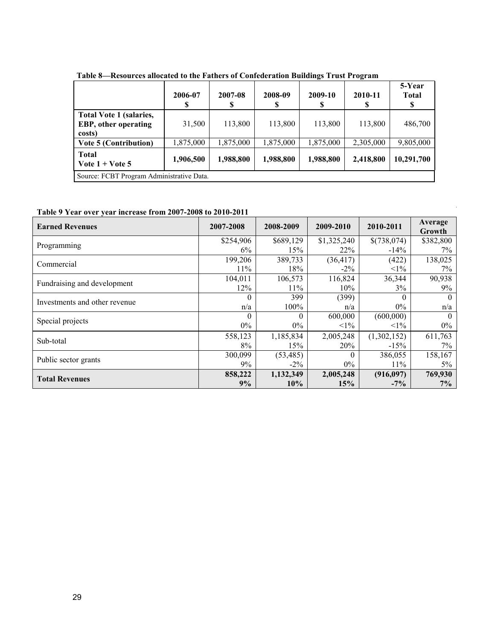|                                                                          | 2006-07   | 2007-08   | 2008-09<br>S | 2009-10   | 2010-11   | 5-Year<br><b>Total</b><br>\$ |  |  |
|--------------------------------------------------------------------------|-----------|-----------|--------------|-----------|-----------|------------------------------|--|--|
| <b>Total Vote 1 (salaries,</b><br><b>EBP</b> , other operating<br>costs) | 31,500    | 113,800   | 113,800      | 113,800   | 113,800   | 486,700                      |  |  |
| <b>Vote 5 (Contribution)</b>                                             | 1,875,000 | 1,875,000 | 1,875,000    | 1,875,000 | 2,305,000 | 9,805,000                    |  |  |
| <b>Total</b><br>Vote $1 +$ Vote 5                                        | 1,906,500 | 1,988,800 | 1,988,800    | 1,988,800 | 2,418,800 | 10,291,700                   |  |  |
| Source: FCBT Program Administrative Data.                                |           |           |              |           |           |                              |  |  |

**Table 8—Resources allocated to the Fathers of Confederation Buildings Trust Program**

**Table 9 Year over year increase from 2007-2008 to 2010-2011** 

| <b>Earned Revenues</b>        | 2007-2008 | 2008-2009 | 2009-2010   | 2010-2011   | Average<br>Growth |
|-------------------------------|-----------|-----------|-------------|-------------|-------------------|
| Programming                   | \$254,906 | \$689,129 | \$1,325,240 | \$(738,074) | \$382,800         |
|                               | 6%        | 15%       | 22%         | $-14\%$     | $7\%$             |
| Commercial                    | 199,206   | 389,733   | (36, 417)   | (422)       | 138,025           |
|                               | 11%       | 18%       | $-2\%$      | $<1\%$      | $7\%$             |
| Fundraising and development   | 104,011   | 106,573   | 116,824     | 36,344      | 90,938            |
|                               | 12%       | 11%       | $10\%$      | 3%          | $9\%$             |
| Investments and other revenue | $\theta$  | 399       | (399)       |             | $\theta$          |
|                               | n/a       | 100%      | n/a         | $0\%$       | n/a               |
| Special projects              | $\theta$  | $\Omega$  | 600,000     | (600,000)   | $\theta$          |
|                               | $0\%$     | $0\%$     | $<1\%$      | $<1\%$      | $0\%$             |
| Sub-total                     | 558,123   | 1,185,834 | 2,005,248   | (1,302,152) | 611,763           |
|                               | 8%        | 15%       | 20%         | $-15%$      | $7\%$             |
| Public sector grants          | 300,099   | (53, 485) | $\Omega$    | 386,055     | 158,167           |
|                               | 9%        | $-2\%$    | $0\%$       | 11%         | $5\%$             |
|                               | 858,222   | 1,132,349 | 2,005,248   | (916,097)   | 769,930           |
| <b>Total Revenues</b>         | 9%        | 10%       | 15%         | $-7\%$      | 7%                |